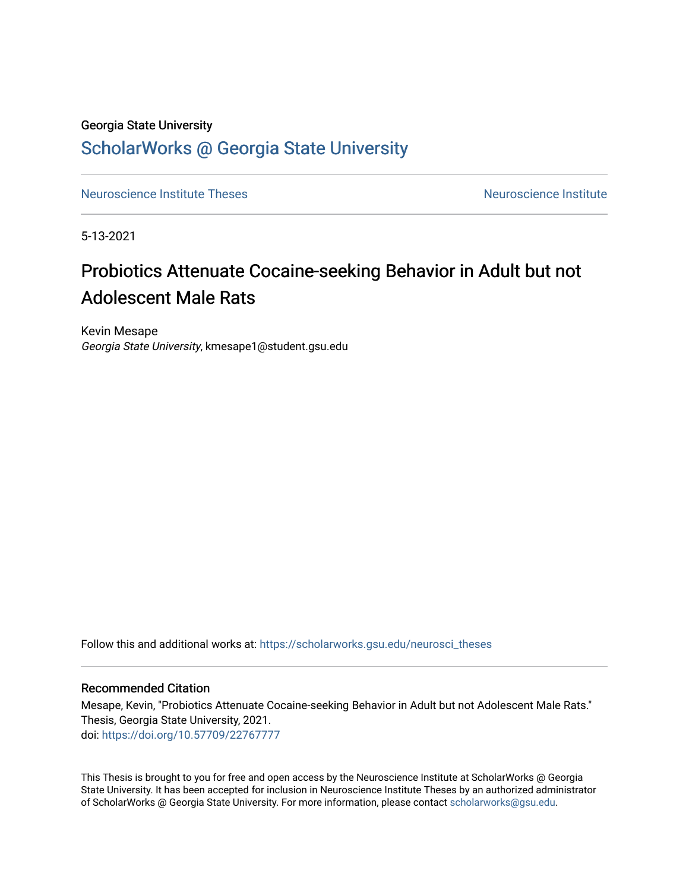# Georgia State University

# [ScholarWorks @ Georgia State University](https://scholarworks.gsu.edu/)

[Neuroscience Institute Theses](https://scholarworks.gsu.edu/neurosci_theses) [Neuroscience Institute](https://scholarworks.gsu.edu/neurosci) Institute Neuroscience Institute

5-13-2021

# Probiotics Attenuate Cocaine-seeking Behavior in Adult but not Adolescent Male Rats

Kevin Mesape Georgia State University, kmesape1@student.gsu.edu

Follow this and additional works at: [https://scholarworks.gsu.edu/neurosci\\_theses](https://scholarworks.gsu.edu/neurosci_theses?utm_source=scholarworks.gsu.edu%2Fneurosci_theses%2F1&utm_medium=PDF&utm_campaign=PDFCoverPages)

## Recommended Citation

Mesape, Kevin, "Probiotics Attenuate Cocaine-seeking Behavior in Adult but not Adolescent Male Rats." Thesis, Georgia State University, 2021. doi: <https://doi.org/10.57709/22767777>

This Thesis is brought to you for free and open access by the Neuroscience Institute at ScholarWorks @ Georgia State University. It has been accepted for inclusion in Neuroscience Institute Theses by an authorized administrator of ScholarWorks @ Georgia State University. For more information, please contact [scholarworks@gsu.edu.](mailto:scholarworks@gsu.edu)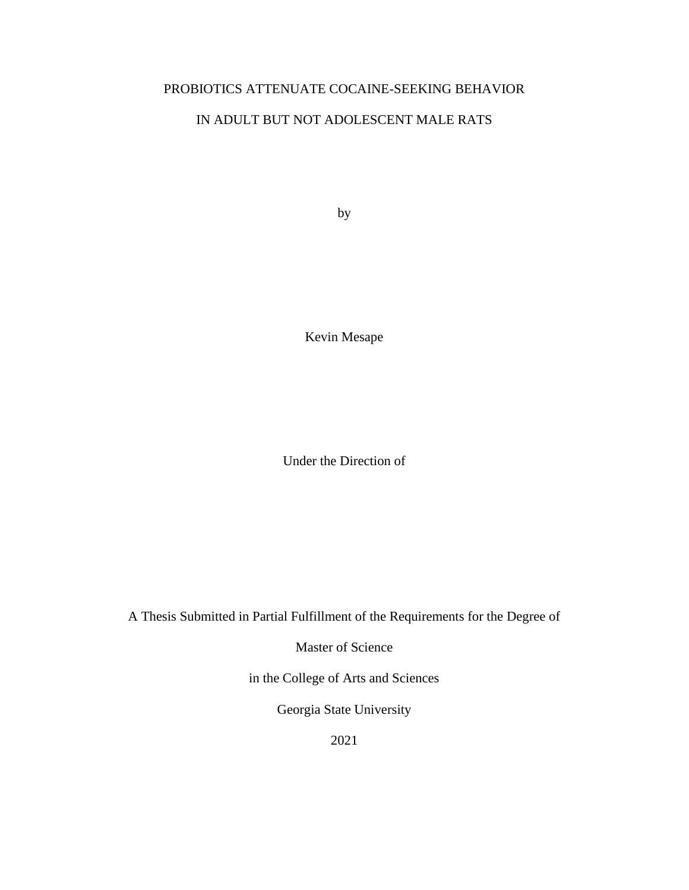# PROBIOTICS ATTENUATE COCAINE-SEEKING BEHAVIOR

# IN ADULT BUT NOT ADOLESCENT MALE RATS

by

Kevin Mesape

Under the Direction of

A Thesis Submitted in Partial Fulfillment of the Requirements for the Degree of

Master of Science

in the College of Arts and Sciences

Georgia State University

2021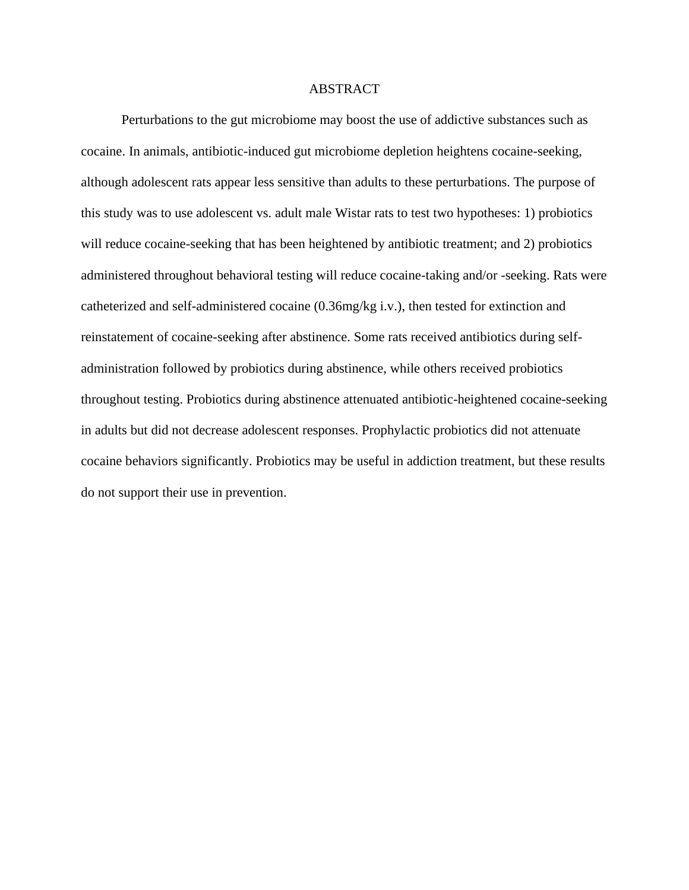### ABSTRACT

Perturbations to the gut microbiome may boost the use of addictive substances such as cocaine. In animals, antibiotic-induced gut microbiome depletion heightens cocaine-seeking, although adolescent rats appear less sensitive than adults to these perturbations. The purpose of this study was to use adolescent vs. adult male Wistar rats to test two hypotheses: 1) probiotics will reduce cocaine-seeking that has been heightened by antibiotic treatment; and 2) probiotics administered throughout behavioral testing will reduce cocaine-taking and/or -seeking. Rats were catheterized and self-administered cocaine (0.36mg/kg i.v.), then tested for extinction and reinstatement of cocaine-seeking after abstinence. Some rats received antibiotics during selfadministration followed by probiotics during abstinence, while others received probiotics throughout testing. Probiotics during abstinence attenuated antibiotic-heightened cocaine-seeking in adults but did not decrease adolescent responses. Prophylactic probiotics did not attenuate cocaine behaviors significantly. Probiotics may be useful in addiction treatment, but these results do not support their use in prevention.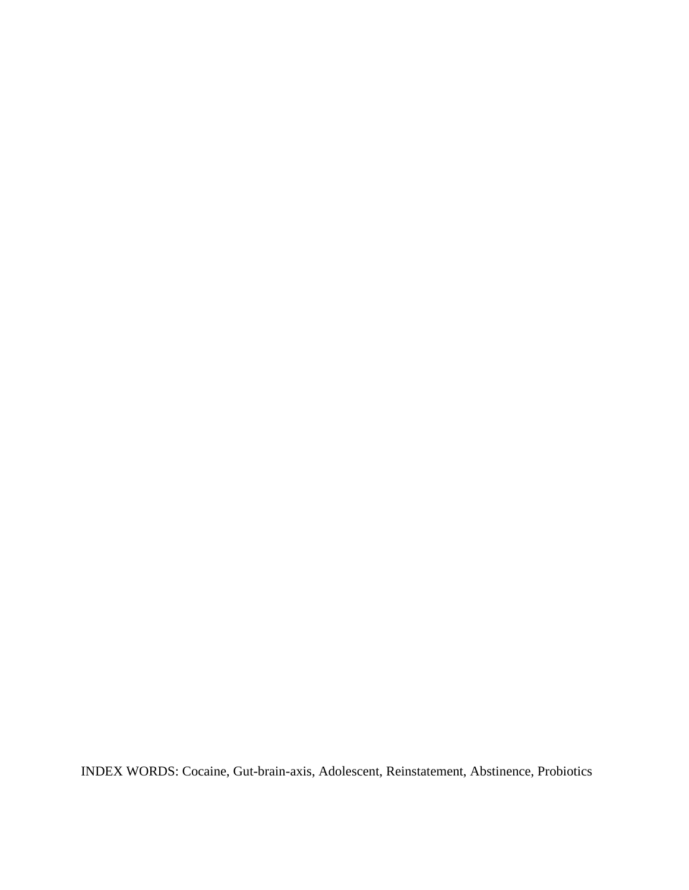INDEX WORDS: Cocaine, Gut-brain-axis, Adolescent, Reinstatement, Abstinence, Probiotics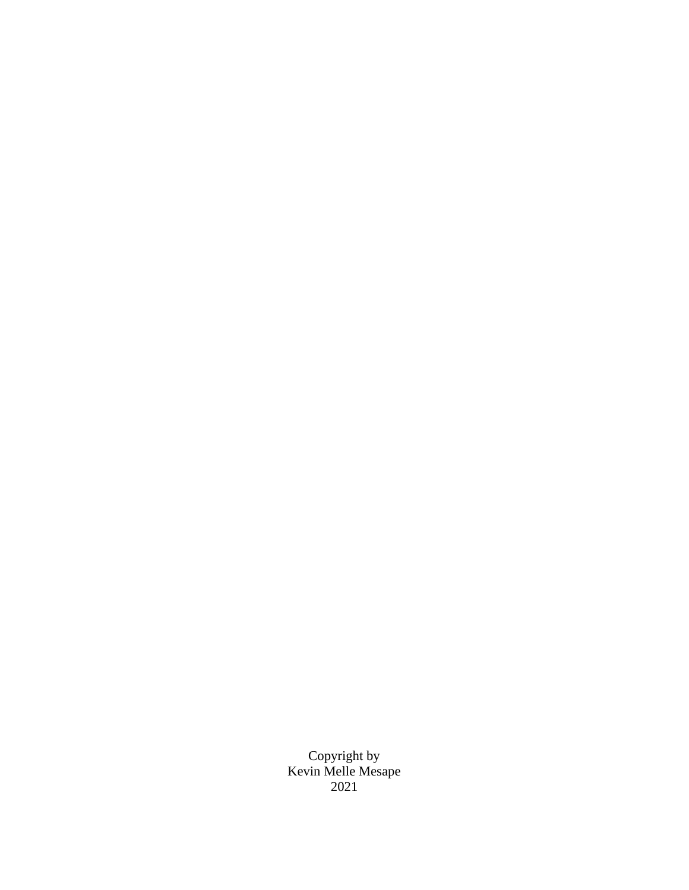Copyright by Kevin Melle Mesape 2021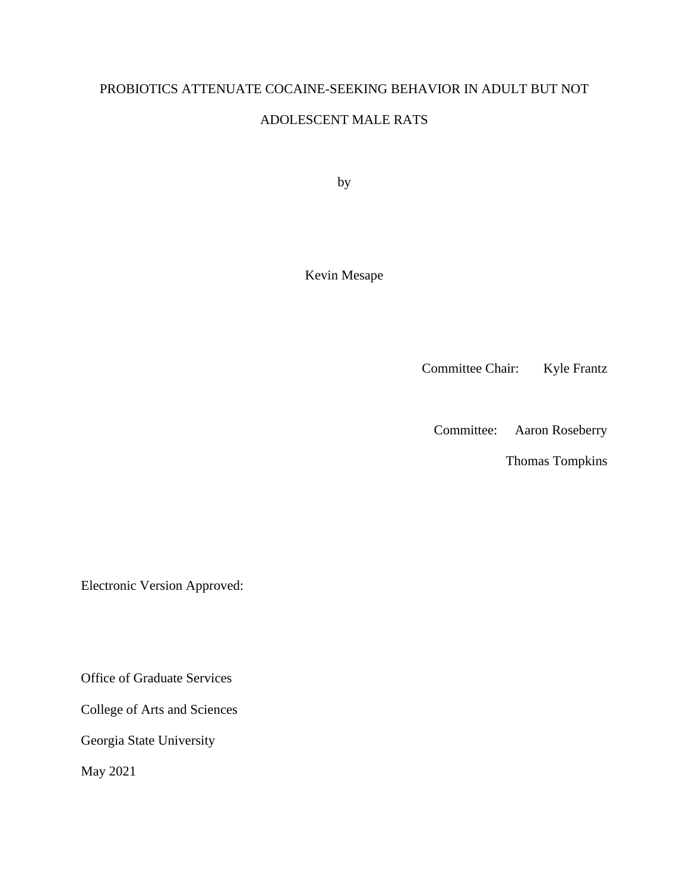# PROBIOTICS ATTENUATE COCAINE-SEEKING BEHAVIOR IN ADULT BUT NOT

# ADOLESCENT MALE RATS

by

Kevin Mesape

Committee Chair: Kyle Frantz

Committee: Aaron Roseberry

Thomas Tompkins

Electronic Version Approved:

Office of Graduate Services

College of Arts and Sciences

Georgia State University

May 2021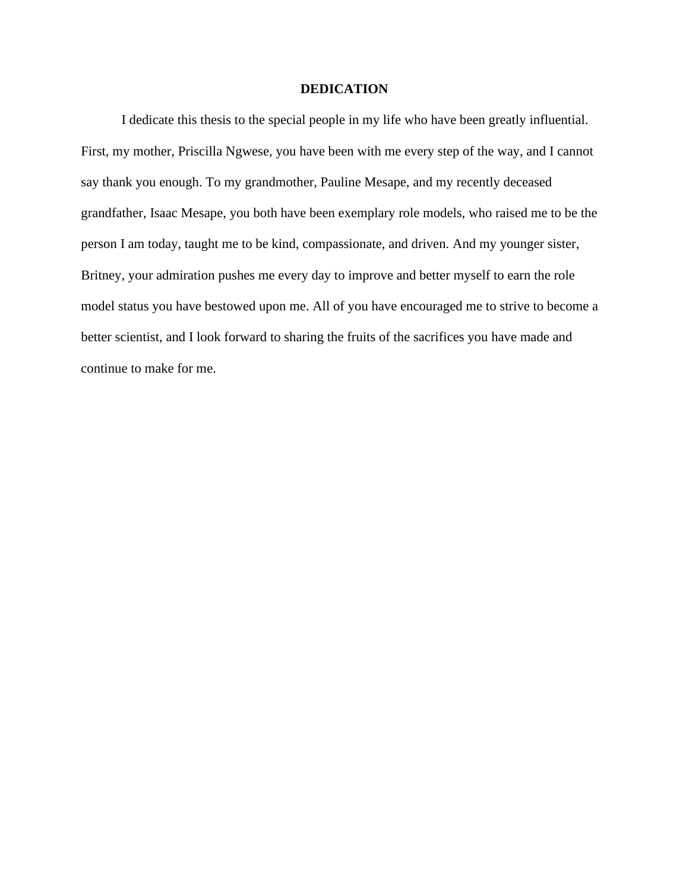## **DEDICATION**

I dedicate this thesis to the special people in my life who have been greatly influential. First, my mother, Priscilla Ngwese, you have been with me every step of the way, and I cannot say thank you enough. To my grandmother, Pauline Mesape, and my recently deceased grandfather, Isaac Mesape, you both have been exemplary role models, who raised me to be the person I am today, taught me to be kind, compassionate, and driven. And my younger sister, Britney, your admiration pushes me every day to improve and better myself to earn the role model status you have bestowed upon me. All of you have encouraged me to strive to become a better scientist, and I look forward to sharing the fruits of the sacrifices you have made and continue to make for me.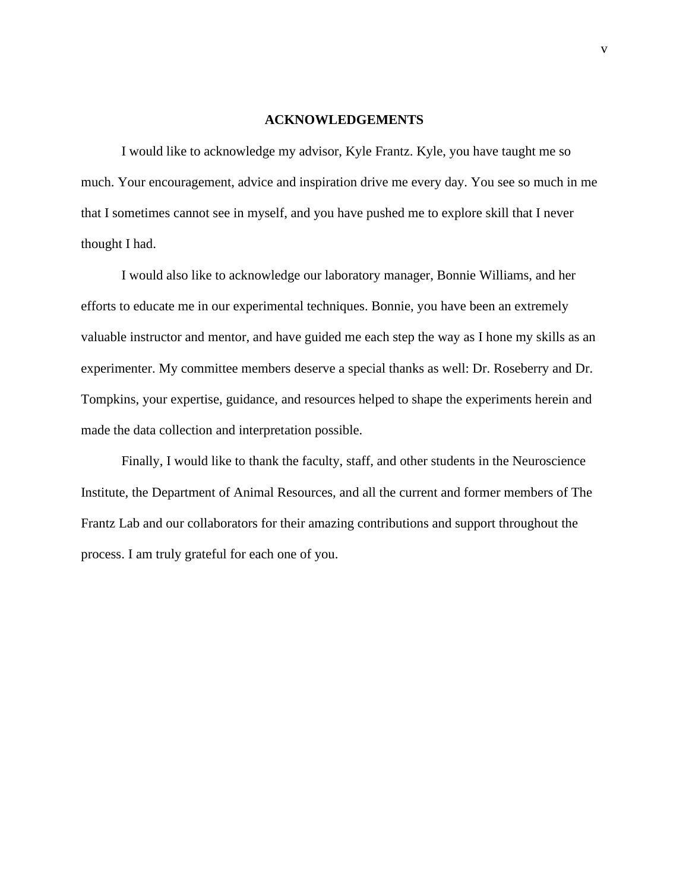#### **ACKNOWLEDGEMENTS**

<span id="page-7-0"></span>I would like to acknowledge my advisor, Kyle Frantz. Kyle, you have taught me so much. Your encouragement, advice and inspiration drive me every day. You see so much in me that I sometimes cannot see in myself, and you have pushed me to explore skill that I never thought I had.

I would also like to acknowledge our laboratory manager, Bonnie Williams, and her efforts to educate me in our experimental techniques. Bonnie, you have been an extremely valuable instructor and mentor, and have guided me each step the way as I hone my skills as an experimenter. My committee members deserve a special thanks as well: Dr. Roseberry and Dr. Tompkins, your expertise, guidance, and resources helped to shape the experiments herein and made the data collection and interpretation possible.

Finally, I would like to thank the faculty, staff, and other students in the Neuroscience Institute, the Department of Animal Resources, and all the current and former members of The Frantz Lab and our collaborators for their amazing contributions and support throughout the process. I am truly grateful for each one of you.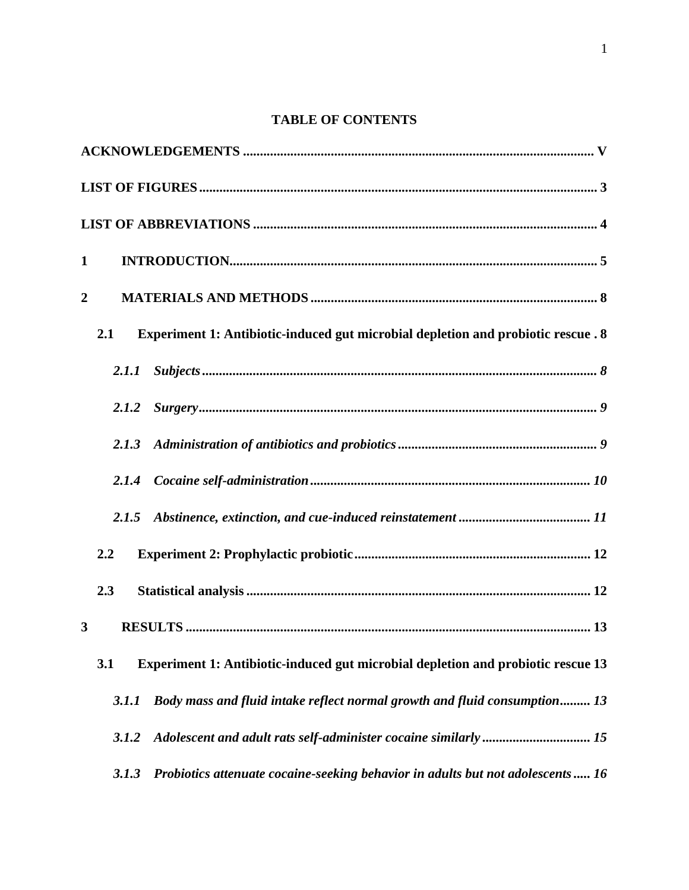# **TABLE OF CONTENTS**

| $\mathbf{1}$                                                                             |
|------------------------------------------------------------------------------------------|
| $\boldsymbol{2}$                                                                         |
| Experiment 1: Antibiotic-induced gut microbial depletion and probiotic rescue . 8<br>2.1 |
| 2.1.1                                                                                    |
| 2.1.2                                                                                    |
| 2.1.3                                                                                    |
| 2.1.4                                                                                    |
| 2.1.5                                                                                    |
| 2.2                                                                                      |
| 2.3                                                                                      |
| 3                                                                                        |
| Experiment 1: Antibiotic-induced gut microbial depletion and probiotic rescue 13<br>3.1  |
| Body mass and fluid intake reflect normal growth and fluid consumption 13<br>3.1.1       |
| 3.1.2                                                                                    |
| Probiotics attenuate cocaine-seeking behavior in adults but not adolescents 16<br>3.1.3  |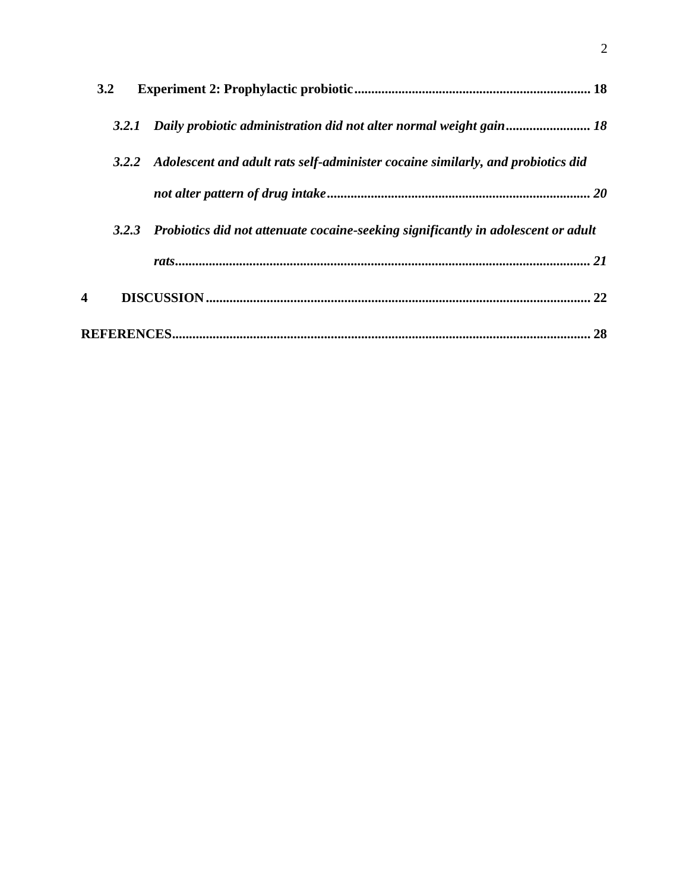|   | 3.2   |                                                                                         |
|---|-------|-----------------------------------------------------------------------------------------|
|   | 3.2.1 |                                                                                         |
|   |       | 3.2.2 Adolescent and adult rats self-administer cocaine similarly, and probiotics did   |
|   |       |                                                                                         |
|   |       | 3.2.3 Probiotics did not attenuate cocaine-seeking significantly in adolescent or adult |
|   |       |                                                                                         |
| 4 |       | 22                                                                                      |
|   |       | 28                                                                                      |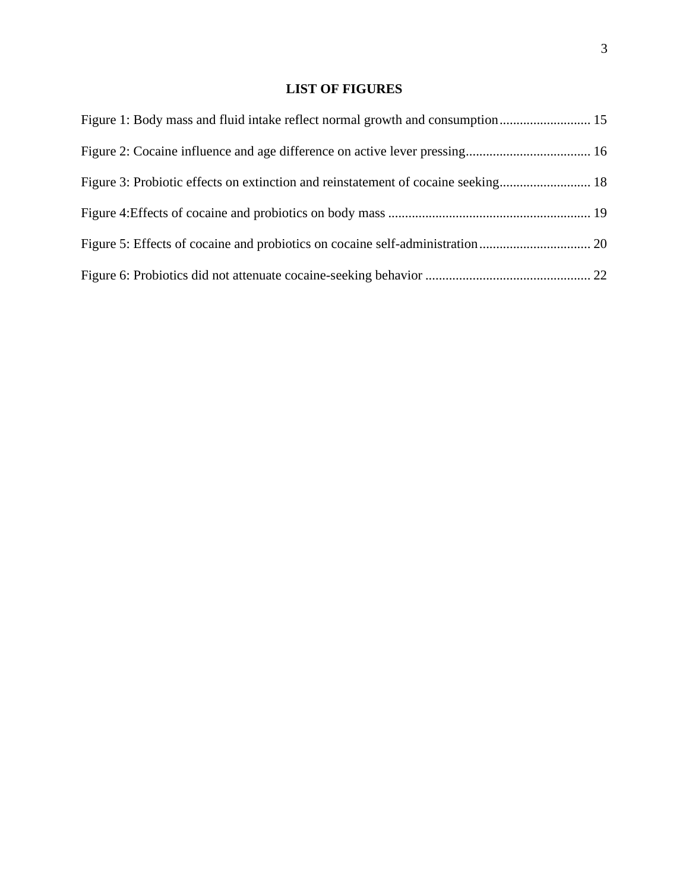# **LIST OF FIGURES**

<span id="page-10-0"></span>

| Figure 1: Body mass and fluid intake reflect normal growth and consumption 15 |  |
|-------------------------------------------------------------------------------|--|
|                                                                               |  |
|                                                                               |  |
|                                                                               |  |
|                                                                               |  |
|                                                                               |  |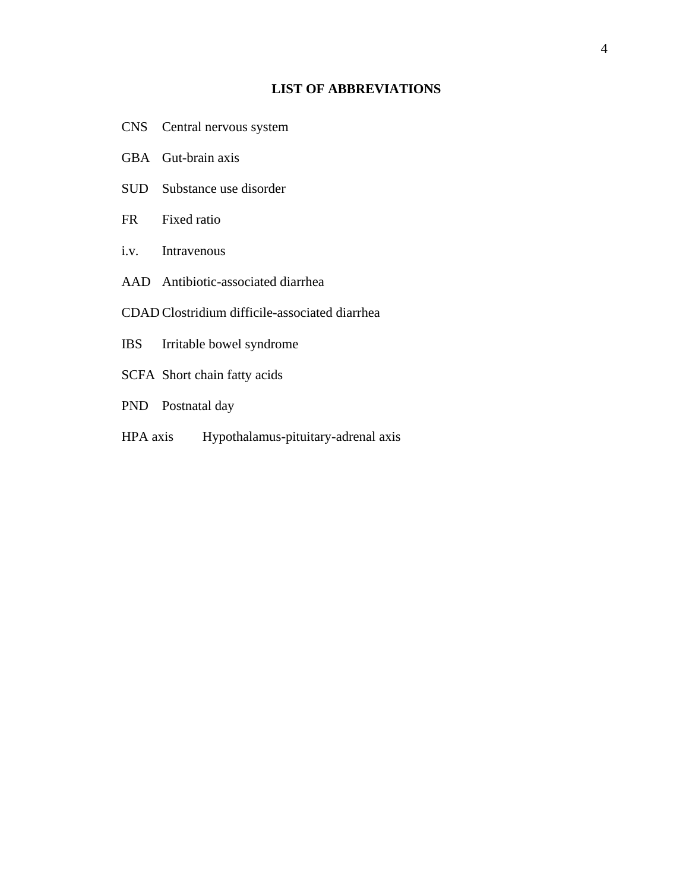# **LIST OF ABBREVIATIONS**

- <span id="page-11-0"></span>CNS Central nervous system
- GBA Gut-brain axis
- SUD Substance use disorder
- FR Fixed ratio
- i.v. Intravenous
- AAD Antibiotic-associated diarrhea
- CDAD Clostridium difficile-associated diarrhea
- IBS Irritable bowel syndrome
- SCFA Short chain fatty acids
- PND Postnatal day
- HPA axis Hypothalamus-pituitary-adrenal axis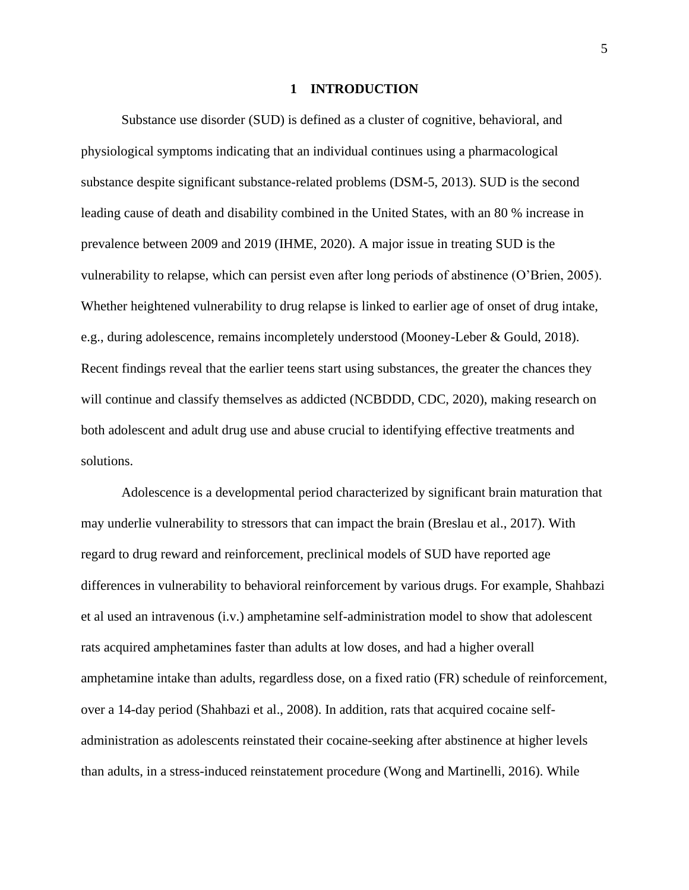#### **1 INTRODUCTION**

<span id="page-12-0"></span>Substance use disorder (SUD) is defined as a cluster of cognitive, behavioral, and physiological symptoms indicating that an individual continues using a pharmacological substance despite significant substance-related problems (DSM-5, 2013). SUD is the second leading cause of death and disability combined in the United States, with an 80 % increase in prevalence between 2009 and 2019 (IHME, 2020). A major issue in treating SUD is the vulnerability to relapse, which can persist even after long periods of abstinence (O'Brien, 2005). Whether heightened vulnerability to drug relapse is linked to earlier age of onset of drug intake, e.g., during adolescence, remains incompletely understood (Mooney-Leber & Gould, 2018). Recent findings reveal that the earlier teens start using substances, the greater the chances they will continue and classify themselves as addicted (NCBDDD, CDC, 2020), making research on both adolescent and adult drug use and abuse crucial to identifying effective treatments and solutions.

Adolescence is a developmental period characterized by significant brain maturation that may underlie vulnerability to stressors that can impact the brain (Breslau et al., 2017). With regard to drug reward and reinforcement, preclinical models of SUD have reported age differences in vulnerability to behavioral reinforcement by various drugs. For example, Shahbazi et al used an intravenous (i.v.) amphetamine self-administration model to show that adolescent rats acquired amphetamines faster than adults at low doses, and had a higher overall amphetamine intake than adults, regardless dose, on a fixed ratio (FR) schedule of reinforcement, over a 14-day period (Shahbazi et al., 2008). In addition, rats that acquired cocaine selfadministration as adolescents reinstated their cocaine-seeking after abstinence at higher levels than adults, in a stress-induced reinstatement procedure (Wong and Martinelli, 2016). While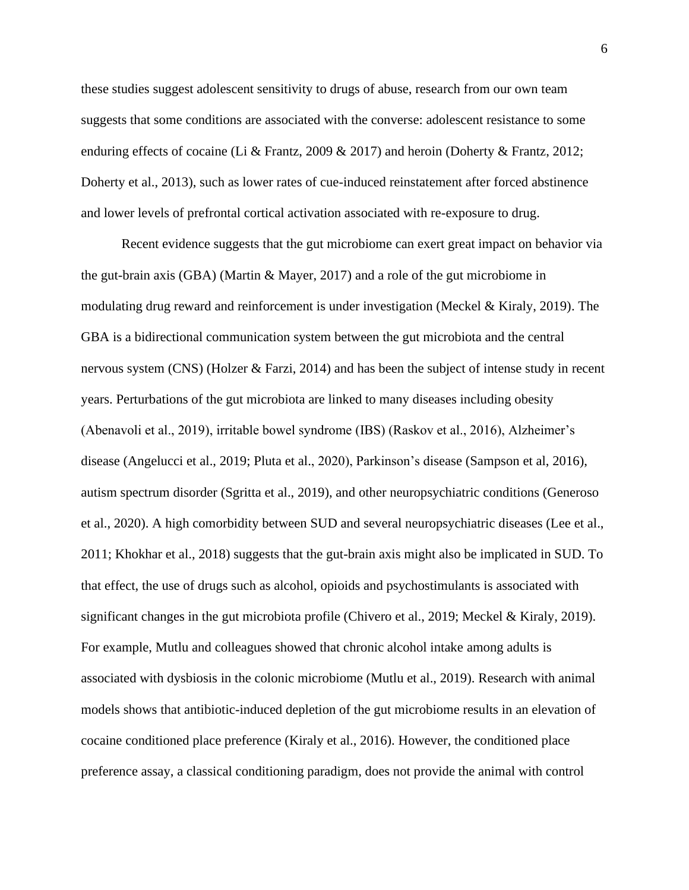these studies suggest adolescent sensitivity to drugs of abuse, research from our own team suggests that some conditions are associated with the converse: adolescent resistance to some enduring effects of cocaine (Li & Frantz, 2009 & 2017) and heroin (Doherty & Frantz, 2012; Doherty et al., 2013), such as lower rates of cue-induced reinstatement after forced abstinence and lower levels of prefrontal cortical activation associated with re-exposure to drug.

Recent evidence suggests that the gut microbiome can exert great impact on behavior via the gut-brain axis (GBA) (Martin & Mayer, 2017) and a role of the gut microbiome in modulating drug reward and reinforcement is under investigation (Meckel & Kiraly, 2019). The GBA is a bidirectional communication system between the gut microbiota and the central nervous system (CNS) (Holzer & Farzi, 2014) and has been the subject of intense study in recent years. Perturbations of the gut microbiota are linked to many diseases including obesity (Abenavoli et al., 2019), irritable bowel syndrome (IBS) (Raskov et al., 2016), Alzheimer's disease (Angelucci et al., 2019; Pluta et al., 2020), Parkinson's disease (Sampson et al, 2016), autism spectrum disorder (Sgritta et al., 2019), and other neuropsychiatric conditions (Generoso et al., 2020). A high comorbidity between SUD and several neuropsychiatric diseases (Lee et al., 2011; Khokhar et al., 2018) suggests that the gut-brain axis might also be implicated in SUD. To that effect, the use of drugs such as alcohol, opioids and psychostimulants is associated with significant changes in the gut microbiota profile (Chivero et al., 2019; Meckel & Kiraly, 2019). For example, Mutlu and colleagues showed that chronic alcohol intake among adults is associated with dysbiosis in the colonic microbiome (Mutlu et al., 2019). Research with animal models shows that antibiotic-induced depletion of the gut microbiome results in an elevation of cocaine conditioned place preference (Kiraly et al., 2016). However, the conditioned place preference assay, a classical conditioning paradigm, does not provide the animal with control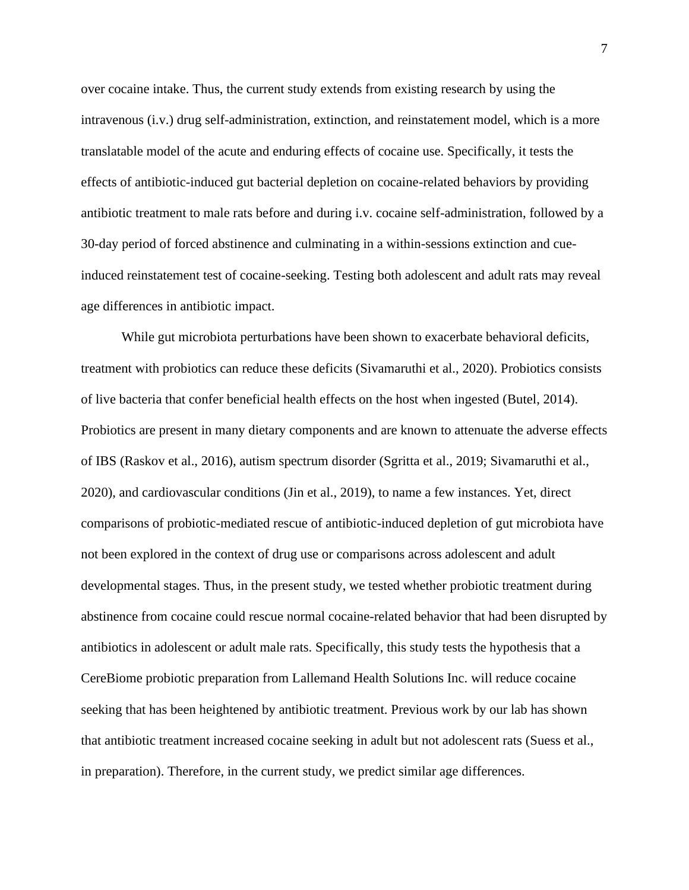over cocaine intake. Thus, the current study extends from existing research by using the intravenous (i.v.) drug self-administration, extinction, and reinstatement model, which is a more translatable model of the acute and enduring effects of cocaine use. Specifically, it tests the effects of antibiotic-induced gut bacterial depletion on cocaine-related behaviors by providing antibiotic treatment to male rats before and during i.v. cocaine self-administration, followed by a 30-day period of forced abstinence and culminating in a within-sessions extinction and cueinduced reinstatement test of cocaine-seeking. Testing both adolescent and adult rats may reveal age differences in antibiotic impact.

While gut microbiota perturbations have been shown to exacerbate behavioral deficits, treatment with probiotics can reduce these deficits (Sivamaruthi et al., 2020). Probiotics consists of live bacteria that confer beneficial health effects on the host when ingested (Butel, 2014). Probiotics are present in many dietary components and are known to attenuate the adverse effects of IBS (Raskov et al., 2016), autism spectrum disorder (Sgritta et al., 2019; Sivamaruthi et al., 2020), and cardiovascular conditions (Jin et al., 2019), to name a few instances. Yet, direct comparisons of probiotic-mediated rescue of antibiotic-induced depletion of gut microbiota have not been explored in the context of drug use or comparisons across adolescent and adult developmental stages. Thus, in the present study, we tested whether probiotic treatment during abstinence from cocaine could rescue normal cocaine-related behavior that had been disrupted by antibiotics in adolescent or adult male rats. Specifically, this study tests the hypothesis that a CereBiome probiotic preparation from Lallemand Health Solutions Inc. will reduce cocaine seeking that has been heightened by antibiotic treatment. Previous work by our lab has shown that antibiotic treatment increased cocaine seeking in adult but not adolescent rats (Suess et al., in preparation). Therefore, in the current study, we predict similar age differences.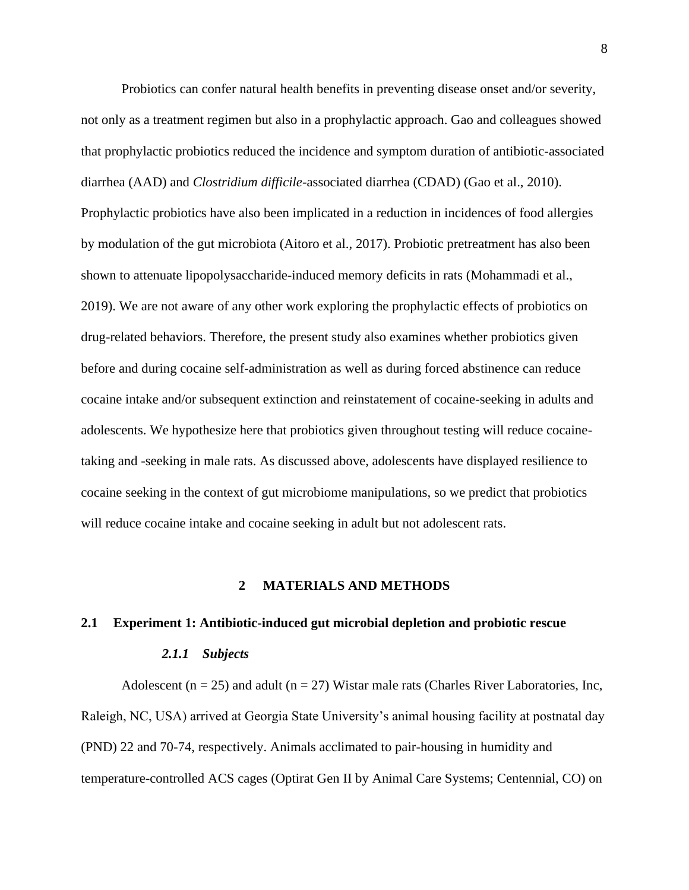Probiotics can confer natural health benefits in preventing disease onset and/or severity, not only as a treatment regimen but also in a prophylactic approach. Gao and colleagues showed that prophylactic probiotics reduced the incidence and symptom duration of antibiotic-associated diarrhea (AAD) and *Clostridium difficile*-associated diarrhea (CDAD) (Gao et al., 2010). Prophylactic probiotics have also been implicated in a reduction in incidences of food allergies by modulation of the gut microbiota (Aitoro et al., 2017). Probiotic pretreatment has also been shown to attenuate lipopolysaccharide-induced memory deficits in rats (Mohammadi et al., 2019). We are not aware of any other work exploring the prophylactic effects of probiotics on drug-related behaviors. Therefore, the present study also examines whether probiotics given before and during cocaine self-administration as well as during forced abstinence can reduce cocaine intake and/or subsequent extinction and reinstatement of cocaine-seeking in adults and adolescents. We hypothesize here that probiotics given throughout testing will reduce cocainetaking and -seeking in male rats. As discussed above, adolescents have displayed resilience to cocaine seeking in the context of gut microbiome manipulations, so we predict that probiotics will reduce cocaine intake and cocaine seeking in adult but not adolescent rats.

#### **2 MATERIALS AND METHODS**

#### <span id="page-15-2"></span><span id="page-15-1"></span><span id="page-15-0"></span>**2.1 Experiment 1: Antibiotic-induced gut microbial depletion and probiotic rescue**

# *2.1.1 Subjects*

Adolescent ( $n = 25$ ) and adult ( $n = 27$ ) Wistar male rats (Charles River Laboratories, Inc, Raleigh, NC, USA) arrived at Georgia State University's animal housing facility at postnatal day (PND) 22 and 70-74, respectively. Animals acclimated to pair-housing in humidity and temperature-controlled ACS cages (Optirat Gen II by Animal Care Systems; Centennial, CO) on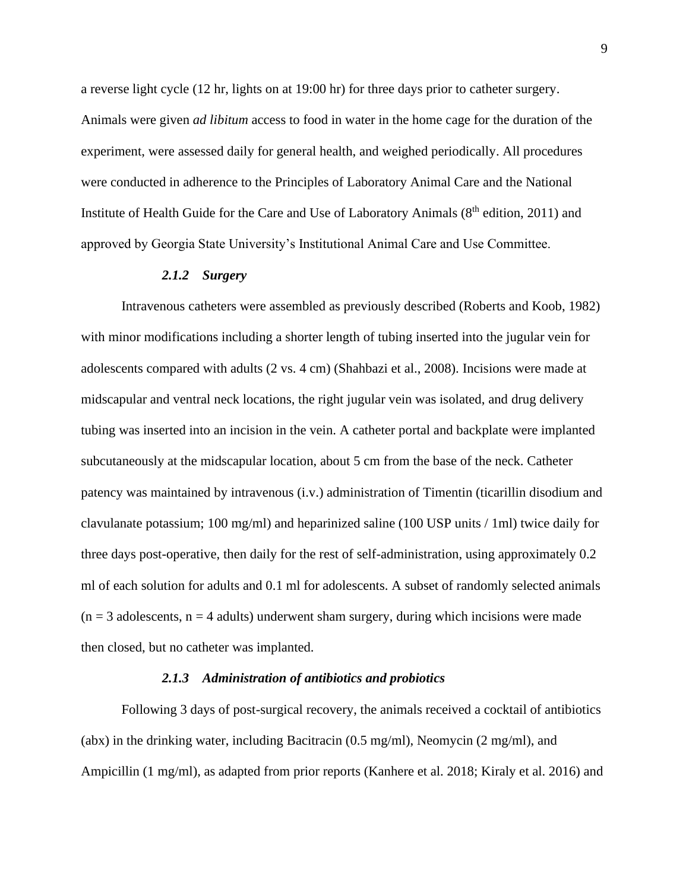a reverse light cycle (12 hr, lights on at 19:00 hr) for three days prior to catheter surgery. Animals were given *ad libitum* access to food in water in the home cage for the duration of the experiment, were assessed daily for general health, and weighed periodically. All procedures were conducted in adherence to the Principles of Laboratory Animal Care and the National Institute of Health Guide for the Care and Use of Laboratory Animals  $(8<sup>th</sup>$  edition, 2011) and approved by Georgia State University's Institutional Animal Care and Use Committee.

## *2.1.2 Surgery*

<span id="page-16-0"></span>Intravenous catheters were assembled as previously described (Roberts and Koob, 1982) with minor modifications including a shorter length of tubing inserted into the jugular vein for adolescents compared with adults (2 vs. 4 cm) (Shahbazi et al., 2008). Incisions were made at midscapular and ventral neck locations, the right jugular vein was isolated, and drug delivery tubing was inserted into an incision in the vein. A catheter portal and backplate were implanted subcutaneously at the midscapular location, about 5 cm from the base of the neck. Catheter patency was maintained by intravenous (i.v.) administration of Timentin (ticarillin disodium and clavulanate potassium; 100 mg/ml) and heparinized saline (100 USP units / 1ml) twice daily for three days post-operative, then daily for the rest of self-administration, using approximately 0.2 ml of each solution for adults and 0.1 ml for adolescents. A subset of randomly selected animals  $(n = 3$  adolescents,  $n = 4$  adults) underwent sham surgery, during which incisions were made then closed, but no catheter was implanted.

## *2.1.3 Administration of antibiotics and probiotics*

<span id="page-16-1"></span>Following 3 days of post-surgical recovery, the animals received a cocktail of antibiotics (abx) in the drinking water, including Bacitracin (0.5 mg/ml), Neomycin (2 mg/ml), and Ampicillin (1 mg/ml), as adapted from prior reports (Kanhere et al. 2018; Kiraly et al. 2016) and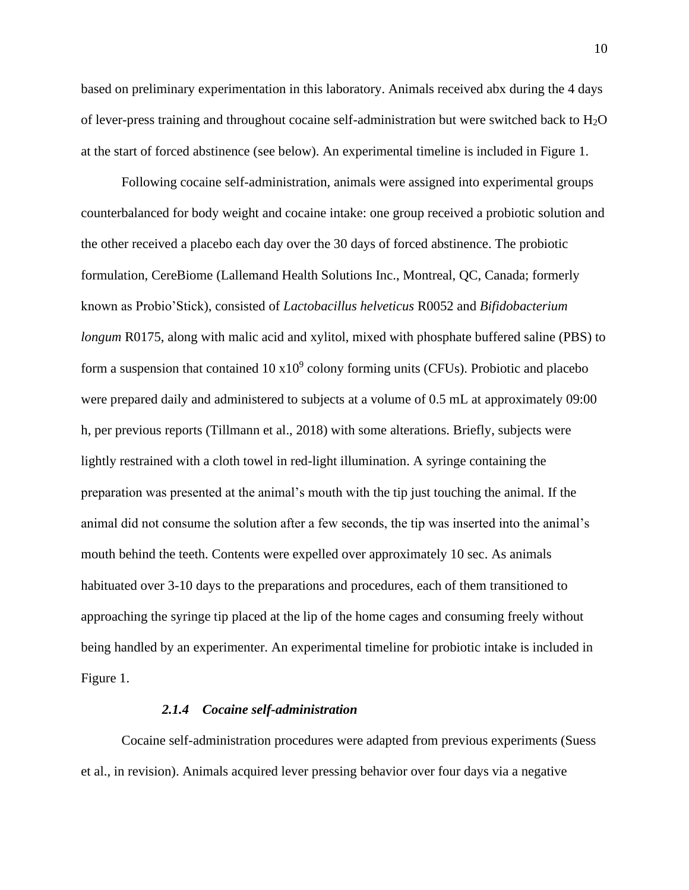based on preliminary experimentation in this laboratory. Animals received abx during the 4 days of lever-press training and throughout cocaine self-administration but were switched back to  $H_2O$ at the start of forced abstinence (see below). An experimental timeline is included in Figure 1.

Following cocaine self-administration, animals were assigned into experimental groups counterbalanced for body weight and cocaine intake: one group received a probiotic solution and the other received a placebo each day over the 30 days of forced abstinence. The probiotic formulation, CereBiome (Lallemand Health Solutions Inc., Montreal, QC, Canada; formerly known as Probio'Stick), consisted of *Lactobacillus helveticus* R0052 and *Bifidobacterium longum* R0175, along with malic acid and xylitol, mixed with phosphate buffered saline (PBS) to form a suspension that contained  $10 \times 10^9$  colony forming units (CFUs). Probiotic and placebo were prepared daily and administered to subjects at a volume of 0.5 mL at approximately 09:00 h, per previous reports (Tillmann et al., 2018) with some alterations. Briefly, subjects were lightly restrained with a cloth towel in red-light illumination. A syringe containing the preparation was presented at the animal's mouth with the tip just touching the animal. If the animal did not consume the solution after a few seconds, the tip was inserted into the animal's mouth behind the teeth. Contents were expelled over approximately 10 sec. As animals habituated over 3-10 days to the preparations and procedures, each of them transitioned to approaching the syringe tip placed at the lip of the home cages and consuming freely without being handled by an experimenter. An experimental timeline for probiotic intake is included in Figure 1.

#### *2.1.4 Cocaine self-administration*

<span id="page-17-0"></span>Cocaine self-administration procedures were adapted from previous experiments (Suess et al., in revision). Animals acquired lever pressing behavior over four days via a negative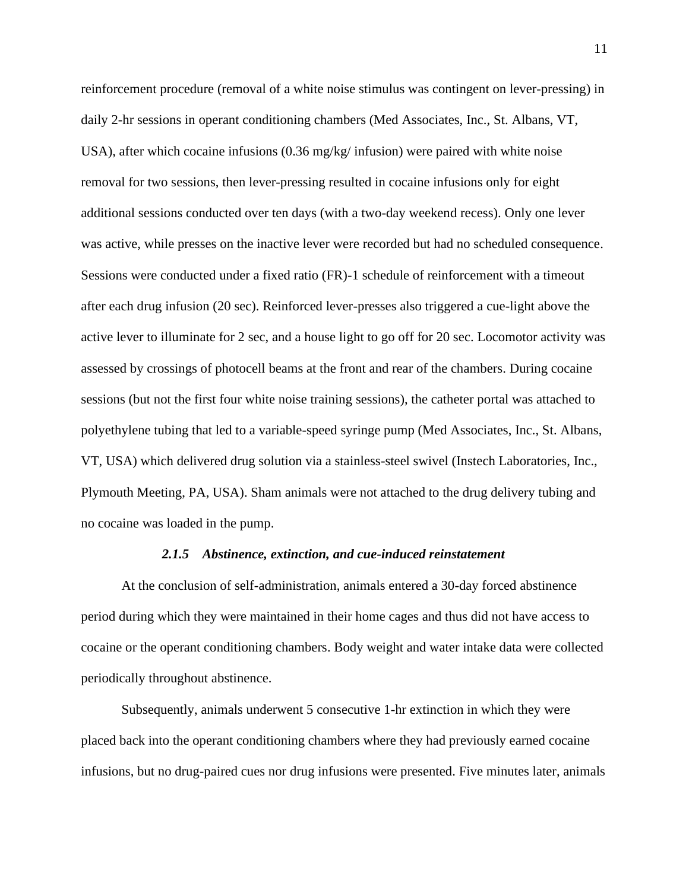reinforcement procedure (removal of a white noise stimulus was contingent on lever-pressing) in daily 2-hr sessions in operant conditioning chambers (Med Associates, Inc., St. Albans, VT, USA), after which cocaine infusions (0.36 mg/kg/ infusion) were paired with white noise removal for two sessions, then lever-pressing resulted in cocaine infusions only for eight additional sessions conducted over ten days (with a two-day weekend recess). Only one lever was active, while presses on the inactive lever were recorded but had no scheduled consequence. Sessions were conducted under a fixed ratio (FR)-1 schedule of reinforcement with a timeout after each drug infusion (20 sec). Reinforced lever-presses also triggered a cue-light above the active lever to illuminate for 2 sec, and a house light to go off for 20 sec. Locomotor activity was assessed by crossings of photocell beams at the front and rear of the chambers. During cocaine sessions (but not the first four white noise training sessions), the catheter portal was attached to polyethylene tubing that led to a variable-speed syringe pump (Med Associates, Inc., St. Albans, VT, USA) which delivered drug solution via a stainless-steel swivel (Instech Laboratories, Inc., Plymouth Meeting, PA, USA). Sham animals were not attached to the drug delivery tubing and no cocaine was loaded in the pump.

#### *2.1.5 Abstinence, extinction, and cue-induced reinstatement*

<span id="page-18-0"></span>At the conclusion of self-administration, animals entered a 30-day forced abstinence period during which they were maintained in their home cages and thus did not have access to cocaine or the operant conditioning chambers. Body weight and water intake data were collected periodically throughout abstinence.

Subsequently, animals underwent 5 consecutive 1-hr extinction in which they were placed back into the operant conditioning chambers where they had previously earned cocaine infusions, but no drug-paired cues nor drug infusions were presented. Five minutes later, animals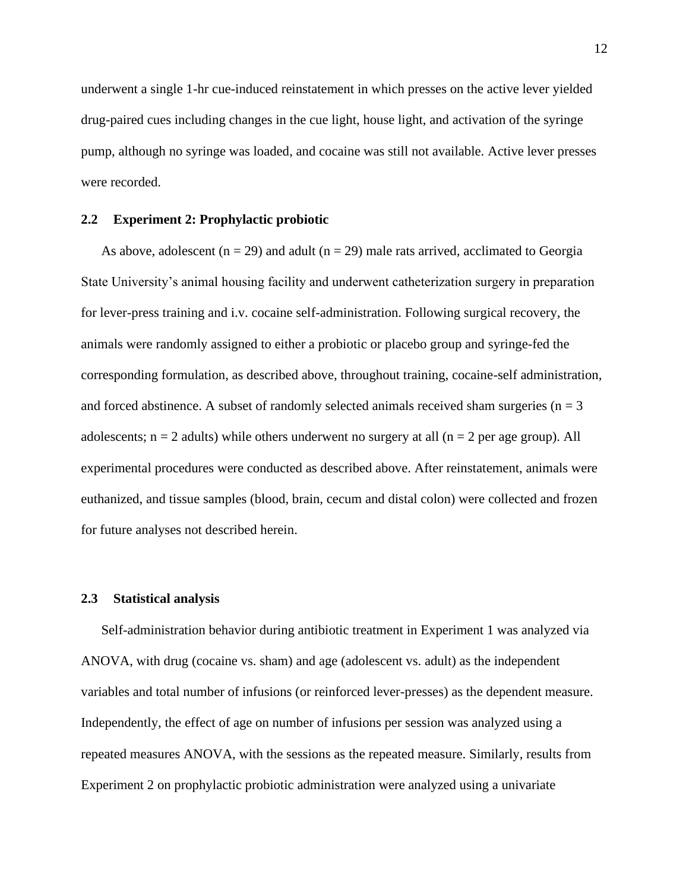underwent a single 1-hr cue-induced reinstatement in which presses on the active lever yielded drug-paired cues including changes in the cue light, house light, and activation of the syringe pump, although no syringe was loaded, and cocaine was still not available. Active lever presses were recorded.

#### <span id="page-19-0"></span>**2.2 Experiment 2: Prophylactic probiotic**

As above, adolescent ( $n = 29$ ) and adult ( $n = 29$ ) male rats arrived, acclimated to Georgia State University's animal housing facility and underwent catheterization surgery in preparation for lever-press training and i.v. cocaine self-administration. Following surgical recovery, the animals were randomly assigned to either a probiotic or placebo group and syringe-fed the corresponding formulation, as described above, throughout training, cocaine-self administration, and forced abstinence. A subset of randomly selected animals received sham surgeries ( $n = 3$ ) adolescents;  $n = 2$  adults) while others underwent no surgery at all  $(n = 2$  per age group). All experimental procedures were conducted as described above. After reinstatement, animals were euthanized, and tissue samples (blood, brain, cecum and distal colon) were collected and frozen for future analyses not described herein.

## <span id="page-19-1"></span>**2.3 Statistical analysis**

Self-administration behavior during antibiotic treatment in Experiment 1 was analyzed via ANOVA, with drug (cocaine vs. sham) and age (adolescent vs. adult) as the independent variables and total number of infusions (or reinforced lever-presses) as the dependent measure. Independently, the effect of age on number of infusions per session was analyzed using a repeated measures ANOVA, with the sessions as the repeated measure. Similarly, results from Experiment 2 on prophylactic probiotic administration were analyzed using a univariate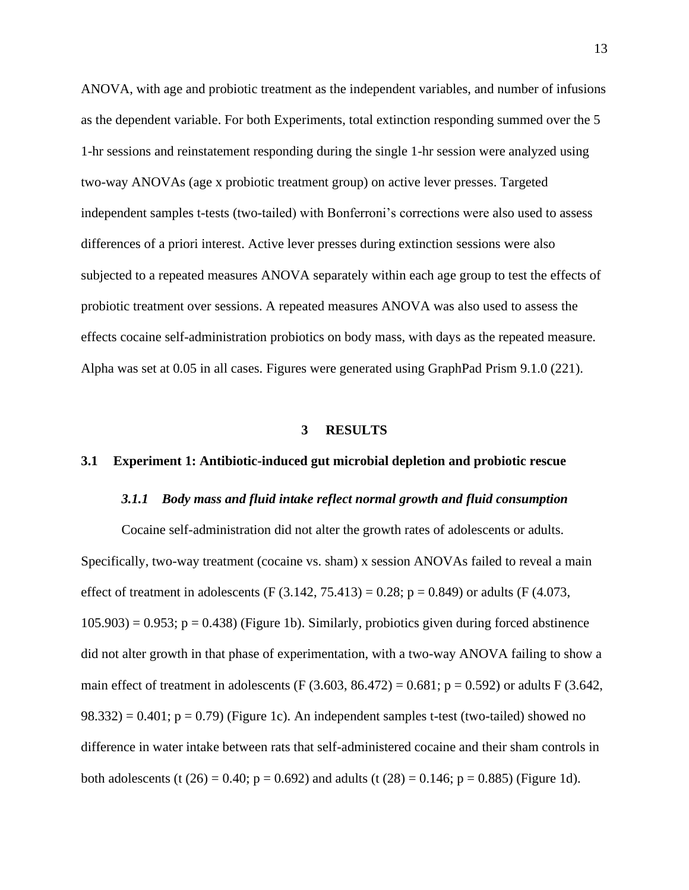ANOVA, with age and probiotic treatment as the independent variables, and number of infusions as the dependent variable. For both Experiments, total extinction responding summed over the 5 1-hr sessions and reinstatement responding during the single 1-hr session were analyzed using two-way ANOVAs (age x probiotic treatment group) on active lever presses. Targeted independent samples t-tests (two-tailed) with Bonferroni's corrections were also used to assess differences of a priori interest. Active lever presses during extinction sessions were also subjected to a repeated measures ANOVA separately within each age group to test the effects of probiotic treatment over sessions. A repeated measures ANOVA was also used to assess the effects cocaine self-administration probiotics on body mass, with days as the repeated measure. Alpha was set at 0.05 in all cases. Figures were generated using GraphPad Prism 9.1.0 (221).

#### **3 RESULTS**

## <span id="page-20-2"></span><span id="page-20-1"></span><span id="page-20-0"></span>**3.1 Experiment 1: Antibiotic-induced gut microbial depletion and probiotic rescue**

#### *3.1.1 Body mass and fluid intake reflect normal growth and fluid consumption*

Cocaine self-administration did not alter the growth rates of adolescents or adults. Specifically, two-way treatment (cocaine vs. sham) x session ANOVAs failed to reveal a main effect of treatment in adolescents (F  $(3.142, 75.413) = 0.28$ ; p = 0.849) or adults (F  $(4.073, 1.412, 7.413)$  $105.903$ ) = 0.953; p = 0.438) (Figure 1b). Similarly, probiotics given during forced abstinence did not alter growth in that phase of experimentation, with a two-way ANOVA failing to show a main effect of treatment in adolescents (F  $(3.603, 86.472) = 0.681$ ; p = 0.592) or adults F  $(3.642, 1.642)$  $98.332$ ) = 0.401; p = 0.79) (Figure 1c). An independent samples t-test (two-tailed) showed no difference in water intake between rats that self-administered cocaine and their sham controls in both adolescents (t (26) = 0.40;  $p = 0.692$ ) and adults (t (28) = 0.146;  $p = 0.885$ ) (Figure 1d).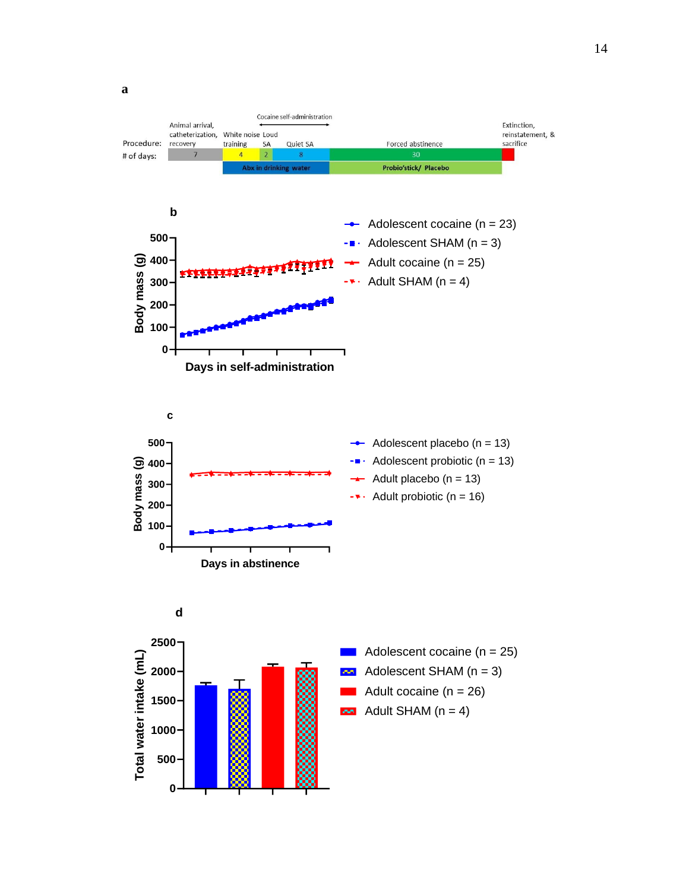**a**

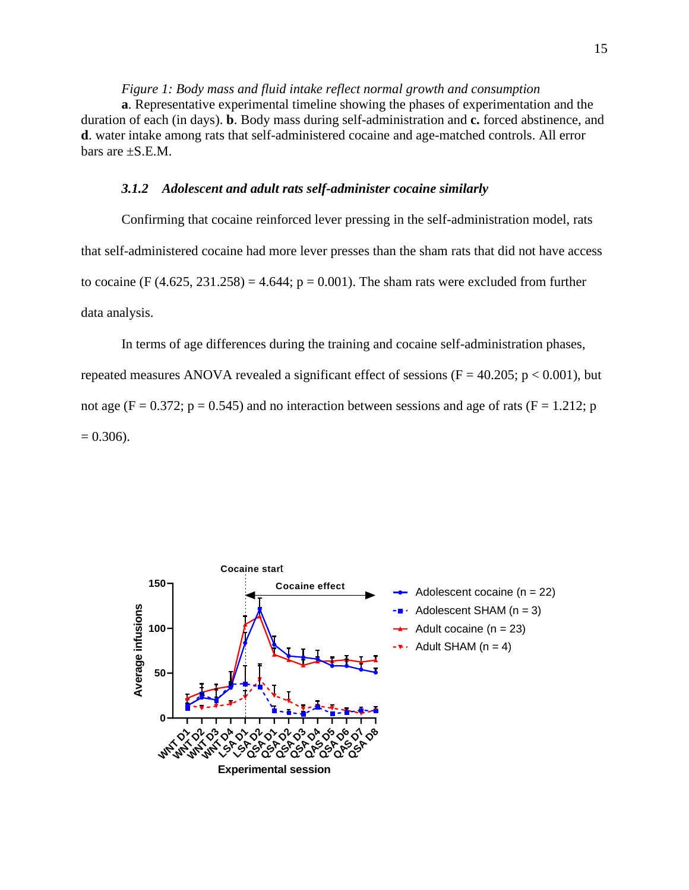<span id="page-22-1"></span>*Figure 1: Body mass and fluid intake reflect normal growth and consumption* **a**. Representative experimental timeline showing the phases of experimentation and the duration of each (in days). **b**. Body mass during self-administration and **c.** forced abstinence, and **d**. water intake among rats that self-administered cocaine and age-matched controls. All error bars are  $\pm$ S.E.M.

### *3.1.2 Adolescent and adult rats self-administer cocaine similarly*

<span id="page-22-0"></span>Confirming that cocaine reinforced lever pressing in the self-administration model, rats that self-administered cocaine had more lever presses than the sham rats that did not have access to cocaine (F  $(4.625, 231.258) = 4.644$ ;  $p = 0.001$ ). The sham rats were excluded from further data analysis.

In terms of age differences during the training and cocaine self-administration phases, repeated measures ANOVA revealed a significant effect of sessions ( $F = 40.205$ ;  $p < 0.001$ ), but not age (F = 0.372; p = 0.545) and no interaction between sessions and age of rats (F = 1.212; p  $= 0.306$ ).

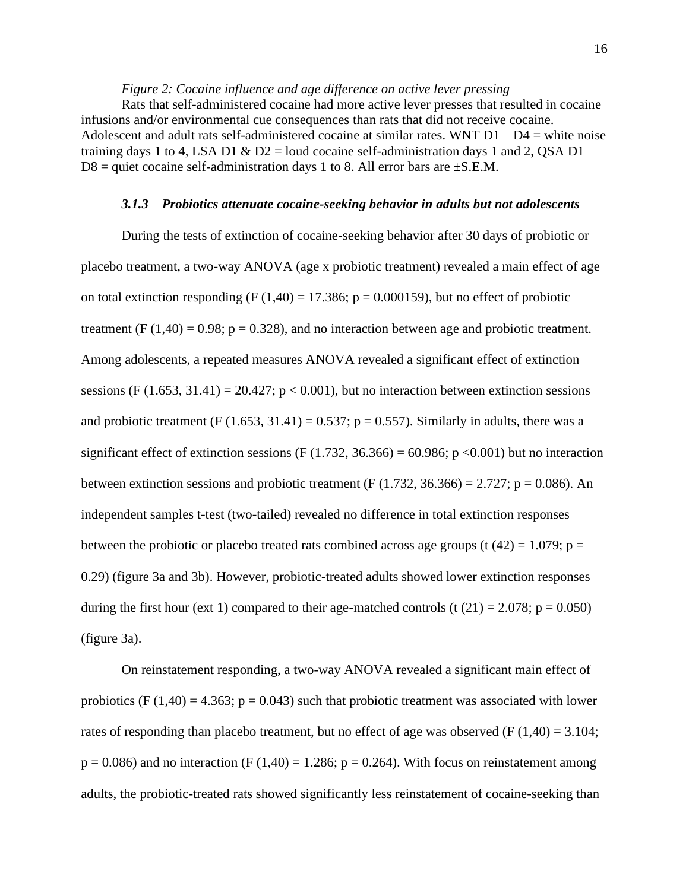# *Figure 2: Cocaine influence and age difference on active lever pressing*

<span id="page-23-1"></span>Rats that self-administered cocaine had more active lever presses that resulted in cocaine infusions and/or environmental cue consequences than rats that did not receive cocaine. Adolescent and adult rats self-administered cocaine at similar rates. WNT  $D1 - D4$  = white noise training days 1 to 4, LSA D1  $\&$  D2 = loud cocaine self-administration days 1 and 2, QSA D1 –  $D8$  = quiet cocaine self-administration days 1 to 8. All error bars are  $\pm$ S.E.M.

### *3.1.3 Probiotics attenuate cocaine-seeking behavior in adults but not adolescents*

<span id="page-23-0"></span>During the tests of extinction of cocaine-seeking behavior after 30 days of probiotic or placebo treatment, a two-way ANOVA (age x probiotic treatment) revealed a main effect of age on total extinction responding (F  $(1,40) = 17.386$ ; p = 0.000159), but no effect of probiotic treatment (F  $(1,40) = 0.98$ ;  $p = 0.328$ ), and no interaction between age and probiotic treatment. Among adolescents, a repeated measures ANOVA revealed a significant effect of extinction sessions (F  $(1.653, 31.41) = 20.427$ ;  $p < 0.001$ ), but no interaction between extinction sessions and probiotic treatment (F (1.653, 31.41) = 0.537;  $p = 0.557$ ). Similarly in adults, there was a significant effect of extinction sessions (F (1.732, 36.366) = 60.986; p <0.001) but no interaction between extinction sessions and probiotic treatment (F (1.732, 36.366) = 2.727; p = 0.086). An independent samples t-test (two-tailed) revealed no difference in total extinction responses between the probiotic or placebo treated rats combined across age groups (t  $(42) = 1.079$ ; p = 0.29) (figure 3a and 3b). However, probiotic-treated adults showed lower extinction responses during the first hour (ext 1) compared to their age-matched controls (t  $(21) = 2.078$ ; p = 0.050) (figure 3a).

On reinstatement responding, a two-way ANOVA revealed a significant main effect of probiotics (F  $(1,40) = 4.363$ ; p = 0.043) such that probiotic treatment was associated with lower rates of responding than placebo treatment, but no effect of age was observed (F  $(1,40) = 3.104$ ;  $p = 0.086$ ) and no interaction (F (1,40) = 1.286;  $p = 0.264$ ). With focus on reinstatement among adults, the probiotic-treated rats showed significantly less reinstatement of cocaine-seeking than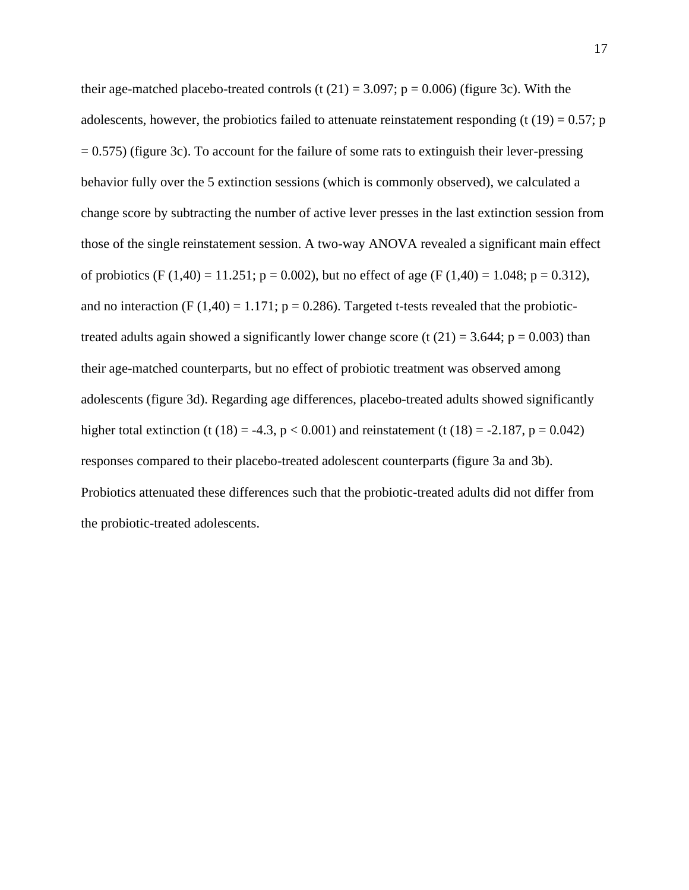their age-matched placebo-treated controls (t  $(21) = 3.097$ ; p = 0.006) (figure 3c). With the adolescents, however, the probiotics failed to attenuate reinstatement responding (t  $(19) = 0.57$ ; p  $= 0.575$ ) (figure 3c). To account for the failure of some rats to extinguish their lever-pressing behavior fully over the 5 extinction sessions (which is commonly observed), we calculated a change score by subtracting the number of active lever presses in the last extinction session from those of the single reinstatement session. A two-way ANOVA revealed a significant main effect of probiotics (F (1,40) = 11.251; p = 0.002), but no effect of age (F (1,40) = 1.048; p = 0.312), and no interaction (F (1,40) = 1.171;  $p = 0.286$ ). Targeted t-tests revealed that the probiotictreated adults again showed a significantly lower change score (t  $(21) = 3.644$ ;  $p = 0.003$ ) than their age-matched counterparts, but no effect of probiotic treatment was observed among adolescents (figure 3d). Regarding age differences, placebo-treated adults showed significantly higher total extinction (t (18) = -4.3,  $p < 0.001$ ) and reinstatement (t (18) = -2.187,  $p = 0.042$ ) responses compared to their placebo-treated adolescent counterparts (figure 3a and 3b). Probiotics attenuated these differences such that the probiotic-treated adults did not differ from the probiotic-treated adolescents.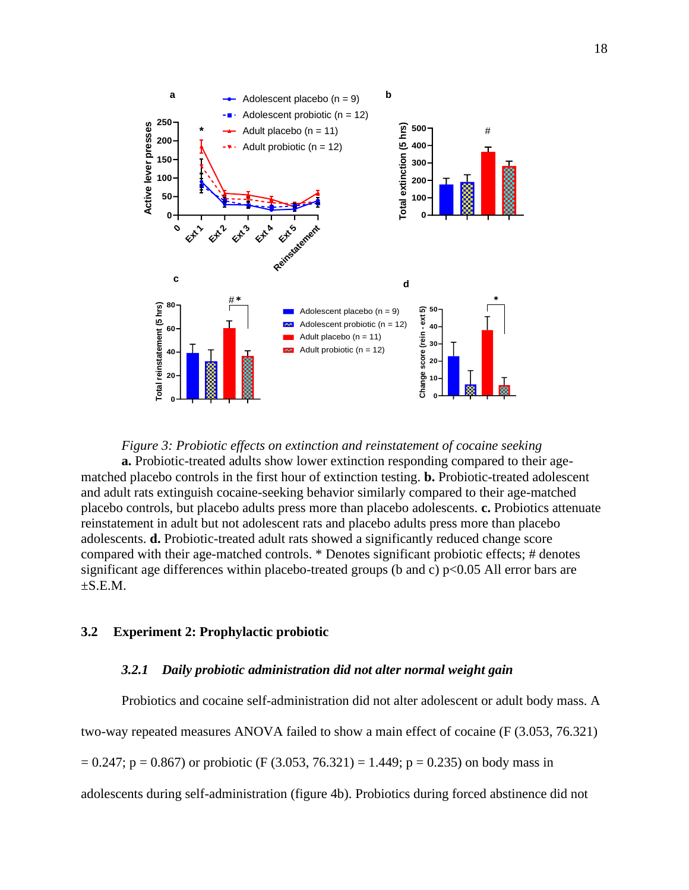

<span id="page-25-2"></span>*Figure 3: Probiotic effects on extinction and reinstatement of cocaine seeking* **a.** Probiotic-treated adults show lower extinction responding compared to their agematched placebo controls in the first hour of extinction testing. **b.** Probiotic-treated adolescent and adult rats extinguish cocaine-seeking behavior similarly compared to their age-matched placebo controls, but placebo adults press more than placebo adolescents. **c.** Probiotics attenuate reinstatement in adult but not adolescent rats and placebo adults press more than placebo adolescents. **d.** Probiotic-treated adult rats showed a significantly reduced change score compared with their age-matched controls. \* Denotes significant probiotic effects; # denotes significant age differences within placebo-treated groups (b and c)  $p<0.05$  All error bars are  $\pm$ S.E.M.

### <span id="page-25-1"></span><span id="page-25-0"></span>**3.2 Experiment 2: Prophylactic probiotic**

## *3.2.1 Daily probiotic administration did not alter normal weight gain*

Probiotics and cocaine self-administration did not alter adolescent or adult body mass. A two-way repeated measures ANOVA failed to show a main effect of cocaine (F (3.053, 76.321)  $= 0.247$ ; p = 0.867) or probiotic (F (3.053, 76.321) = 1.449; p = 0.235) on body mass in adolescents during self-administration (figure 4b). Probiotics during forced abstinence did not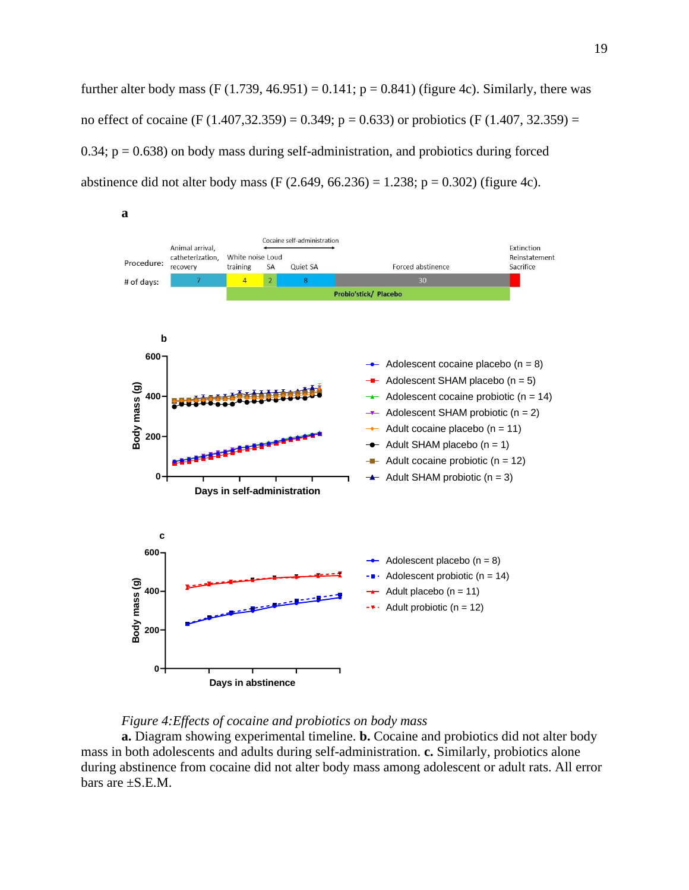further alter body mass (F  $(1.739, 46.951) = 0.141$ ;  $p = 0.841$ ) (figure 4c). Similarly, there was no effect of cocaine (F (1.407,32.359) = 0.349; p = 0.633) or probiotics (F (1.407, 32.359) =  $0.34$ ;  $p = 0.638$ ) on body mass during self-administration, and probiotics during forced abstinence did not alter body mass (F  $(2.649, 66.236) = 1.238$ ; p = 0.302) (figure 4c).





<span id="page-26-0"></span>**a.** Diagram showing experimental timeline. **b.** Cocaine and probiotics did not alter body mass in both adolescents and adults during self-administration. **c.** Similarly, probiotics alone during abstinence from cocaine did not alter body mass among adolescent or adult rats. All error bars are  $\pm$ S.E.M.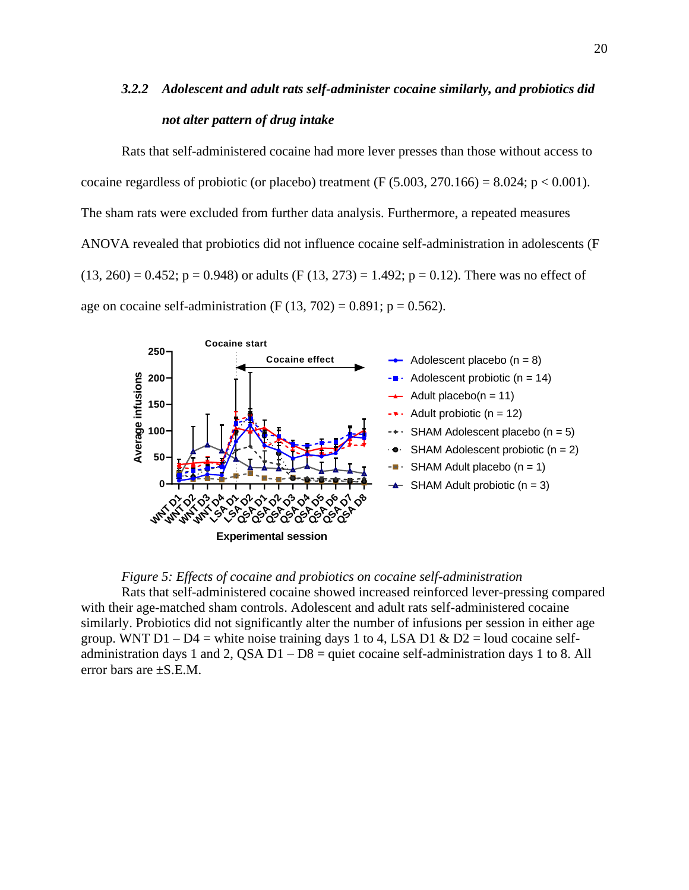# <span id="page-27-0"></span>*3.2.2 Adolescent and adult rats self-administer cocaine similarly, and probiotics did not alter pattern of drug intake*

Rats that self-administered cocaine had more lever presses than those without access to cocaine regardless of probiotic (or placebo) treatment (F  $(5.003, 270.166) = 8.024$ ; p < 0.001). The sham rats were excluded from further data analysis. Furthermore, a repeated measures ANOVA revealed that probiotics did not influence cocaine self-administration in adolescents (F  $(13, 260) = 0.452$ ; p = 0.948) or adults (F  $(13, 273) = 1.492$ ; p = 0.12). There was no effect of age on cocaine self-administration (F  $(13, 702) = 0.891$ ; p = 0.562).





<span id="page-27-1"></span>Rats that self-administered cocaine showed increased reinforced lever-pressing compared with their age-matched sham controls. Adolescent and adult rats self-administered cocaine similarly. Probiotics did not significantly alter the number of infusions per session in either age group. WNT  $D1 - D4$  = white noise training days 1 to 4, LSA D1 & D2 = loud cocaine selfadministration days 1 and 2, QSA  $D1 - D8$  = quiet cocaine self-administration days 1 to 8. All error bars are ±S.E.M.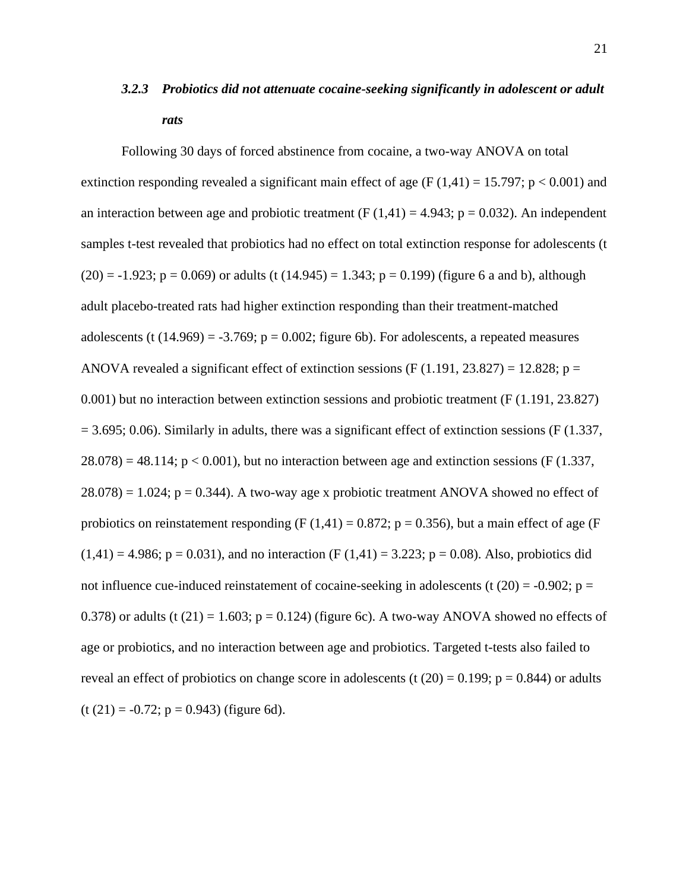# <span id="page-28-0"></span>*3.2.3 Probiotics did not attenuate cocaine-seeking significantly in adolescent or adult rats*

Following 30 days of forced abstinence from cocaine, a two-way ANOVA on total extinction responding revealed a significant main effect of age (F  $(1,41) = 15.797$ ; p < 0.001) and an interaction between age and probiotic treatment (F  $(1,41) = 4.943$ ; p = 0.032). An independent samples t-test revealed that probiotics had no effect on total extinction response for adolescents (t  $(20) = -1.923$ ;  $p = 0.069$ ) or adults (t  $(14.945) = 1.343$ ;  $p = 0.199$ ) (figure 6 a and b), although adult placebo-treated rats had higher extinction responding than their treatment-matched adolescents (t  $(14.969) = -3.769$ ;  $p = 0.002$ ; figure 6b). For adolescents, a repeated measures ANOVA revealed a significant effect of extinction sessions  $(F(1.191, 23.827) = 12.828; p =$ 0.001) but no interaction between extinction sessions and probiotic treatment (F (1.191, 23.827)  $= 3.695$ ; 0.06). Similarly in adults, there was a significant effect of extinction sessions (F (1.337,  $28.078$  = 48.114; p < 0.001), but no interaction between age and extinction sessions (F (1.337,  $28.078$  = 1.024; p = 0.344). A two-way age x probiotic treatment ANOVA showed no effect of probiotics on reinstatement responding (F  $(1,41) = 0.872$ ; p = 0.356), but a main effect of age (F  $(1,41) = 4.986$ ;  $p = 0.031$ ), and no interaction (F  $(1,41) = 3.223$ ;  $p = 0.08$ ). Also, probiotics did not influence cue-induced reinstatement of cocaine-seeking in adolescents (t  $(20) = -0.902$ ; p = 0.378) or adults (t  $(21) = 1.603$ ; p = 0.124) (figure 6c). A two-way ANOVA showed no effects of age or probiotics, and no interaction between age and probiotics. Targeted t-tests also failed to reveal an effect of probiotics on change score in adolescents (t  $(20) = 0.199$ ;  $p = 0.844$ ) or adults  $(t (21) = -0.72; p = 0.943)$  (figure 6d).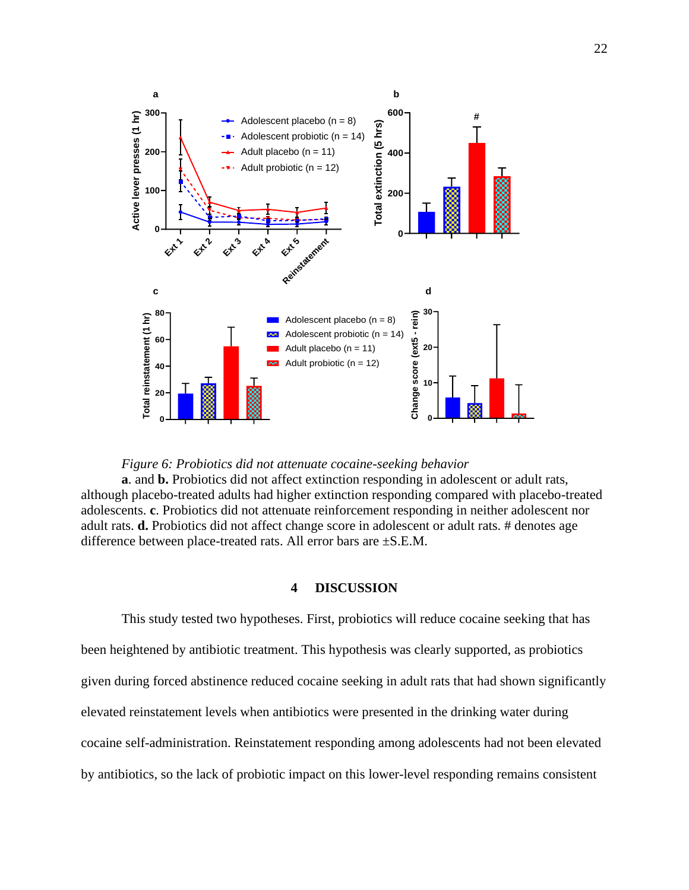



<span id="page-29-1"></span>**a**. and **b.** Probiotics did not affect extinction responding in adolescent or adult rats, although placebo-treated adults had higher extinction responding compared with placebo-treated adolescents. **c**. Probiotics did not attenuate reinforcement responding in neither adolescent nor adult rats. **d.** Probiotics did not affect change score in adolescent or adult rats. # denotes age difference between place-treated rats. All error bars are ±S.E.M.

## **4 DISCUSSION**

<span id="page-29-0"></span>This study tested two hypotheses. First, probiotics will reduce cocaine seeking that has been heightened by antibiotic treatment. This hypothesis was clearly supported, as probiotics given during forced abstinence reduced cocaine seeking in adult rats that had shown significantly elevated reinstatement levels when antibiotics were presented in the drinking water during cocaine self-administration. Reinstatement responding among adolescents had not been elevated by antibiotics, so the lack of probiotic impact on this lower-level responding remains consistent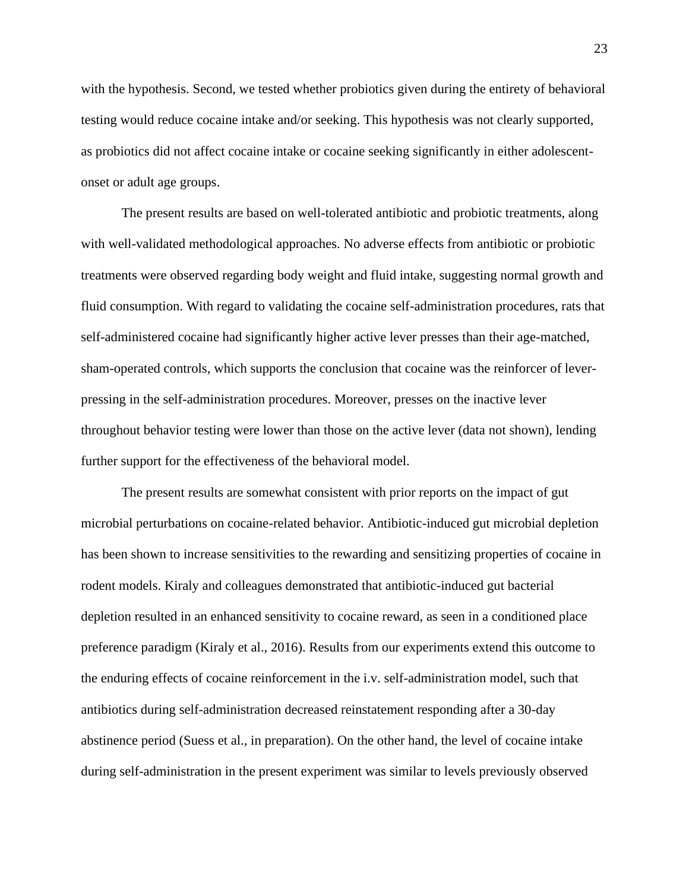with the hypothesis. Second, we tested whether probiotics given during the entirety of behavioral testing would reduce cocaine intake and/or seeking. This hypothesis was not clearly supported, as probiotics did not affect cocaine intake or cocaine seeking significantly in either adolescentonset or adult age groups.

The present results are based on well-tolerated antibiotic and probiotic treatments, along with well-validated methodological approaches. No adverse effects from antibiotic or probiotic treatments were observed regarding body weight and fluid intake, suggesting normal growth and fluid consumption. With regard to validating the cocaine self-administration procedures, rats that self-administered cocaine had significantly higher active lever presses than their age-matched, sham-operated controls, which supports the conclusion that cocaine was the reinforcer of leverpressing in the self-administration procedures. Moreover, presses on the inactive lever throughout behavior testing were lower than those on the active lever (data not shown), lending further support for the effectiveness of the behavioral model.

The present results are somewhat consistent with prior reports on the impact of gut microbial perturbations on cocaine-related behavior. Antibiotic-induced gut microbial depletion has been shown to increase sensitivities to the rewarding and sensitizing properties of cocaine in rodent models. Kiraly and colleagues demonstrated that antibiotic-induced gut bacterial depletion resulted in an enhanced sensitivity to cocaine reward, as seen in a conditioned place preference paradigm (Kiraly et al., 2016). Results from our experiments extend this outcome to the enduring effects of cocaine reinforcement in the i.v. self-administration model, such that antibiotics during self-administration decreased reinstatement responding after a 30-day abstinence period (Suess et al., in preparation). On the other hand, the level of cocaine intake during self-administration in the present experiment was similar to levels previously observed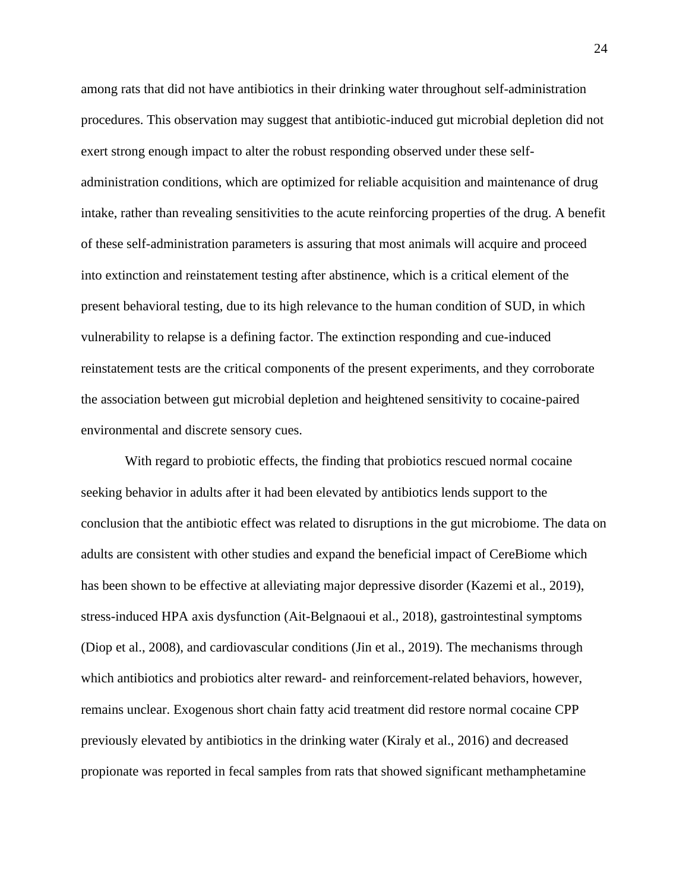among rats that did not have antibiotics in their drinking water throughout self-administration procedures. This observation may suggest that antibiotic-induced gut microbial depletion did not exert strong enough impact to alter the robust responding observed under these selfadministration conditions, which are optimized for reliable acquisition and maintenance of drug intake, rather than revealing sensitivities to the acute reinforcing properties of the drug. A benefit of these self-administration parameters is assuring that most animals will acquire and proceed into extinction and reinstatement testing after abstinence, which is a critical element of the present behavioral testing, due to its high relevance to the human condition of SUD, in which vulnerability to relapse is a defining factor. The extinction responding and cue-induced reinstatement tests are the critical components of the present experiments, and they corroborate the association between gut microbial depletion and heightened sensitivity to cocaine-paired environmental and discrete sensory cues.

With regard to probiotic effects, the finding that probiotics rescued normal cocaine seeking behavior in adults after it had been elevated by antibiotics lends support to the conclusion that the antibiotic effect was related to disruptions in the gut microbiome. The data on adults are consistent with other studies and expand the beneficial impact of CereBiome which has been shown to be effective at alleviating major depressive disorder (Kazemi et al., 2019), stress-induced HPA axis dysfunction (Ait-Belgnaoui et al., 2018), gastrointestinal symptoms (Diop et al., 2008), and cardiovascular conditions (Jin et al., 2019). The mechanisms through which antibiotics and probiotics alter reward- and reinforcement-related behaviors, however, remains unclear. Exogenous short chain fatty acid treatment did restore normal cocaine CPP previously elevated by antibiotics in the drinking water (Kiraly et al., 2016) and decreased propionate was reported in fecal samples from rats that showed significant methamphetamine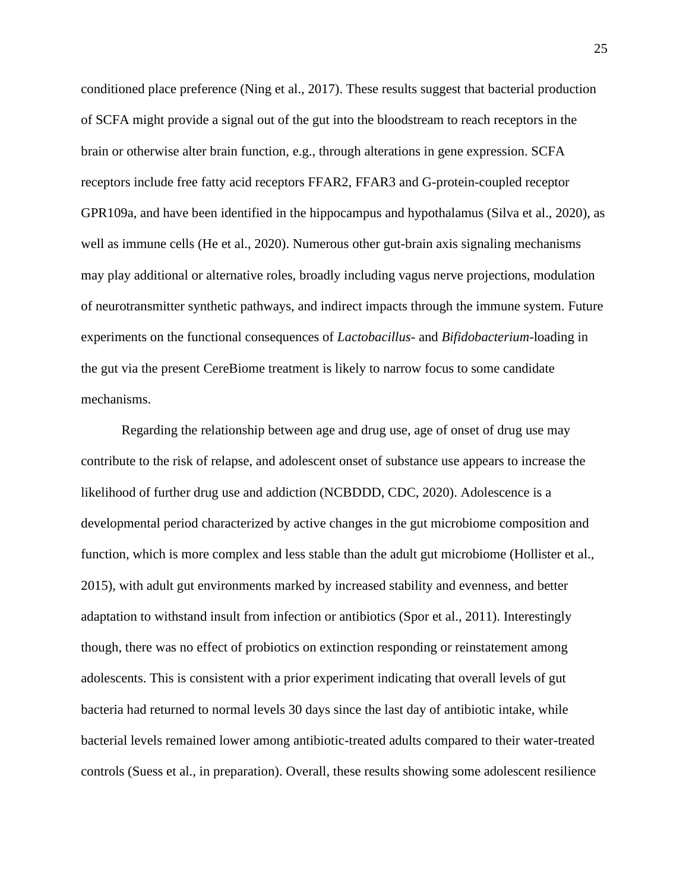conditioned place preference (Ning et al., 2017). These results suggest that bacterial production of SCFA might provide a signal out of the gut into the bloodstream to reach receptors in the brain or otherwise alter brain function, e.g., through alterations in gene expression. SCFA receptors include free fatty acid receptors FFAR2, FFAR3 and G-protein-coupled receptor GPR109a, and have been identified in the hippocampus and hypothalamus (Silva et al., 2020), as well as immune cells (He et al., 2020). Numerous other gut-brain axis signaling mechanisms may play additional or alternative roles, broadly including vagus nerve projections, modulation of neurotransmitter synthetic pathways, and indirect impacts through the immune system. Future experiments on the functional consequences of *Lactobacillus-* and *Bifidobacterium-*loading in the gut via the present CereBiome treatment is likely to narrow focus to some candidate mechanisms.

Regarding the relationship between age and drug use, age of onset of drug use may contribute to the risk of relapse, and adolescent onset of substance use appears to increase the likelihood of further drug use and addiction (NCBDDD, CDC, 2020). Adolescence is a developmental period characterized by active changes in the gut microbiome composition and function, which is more complex and less stable than the adult gut microbiome (Hollister et al., 2015), with adult gut environments marked by increased stability and evenness, and better adaptation to withstand insult from infection or antibiotics (Spor et al., 2011). Interestingly though, there was no effect of probiotics on extinction responding or reinstatement among adolescents. This is consistent with a prior experiment indicating that overall levels of gut bacteria had returned to normal levels 30 days since the last day of antibiotic intake, while bacterial levels remained lower among antibiotic-treated adults compared to their water-treated controls (Suess et al., in preparation). Overall, these results showing some adolescent resilience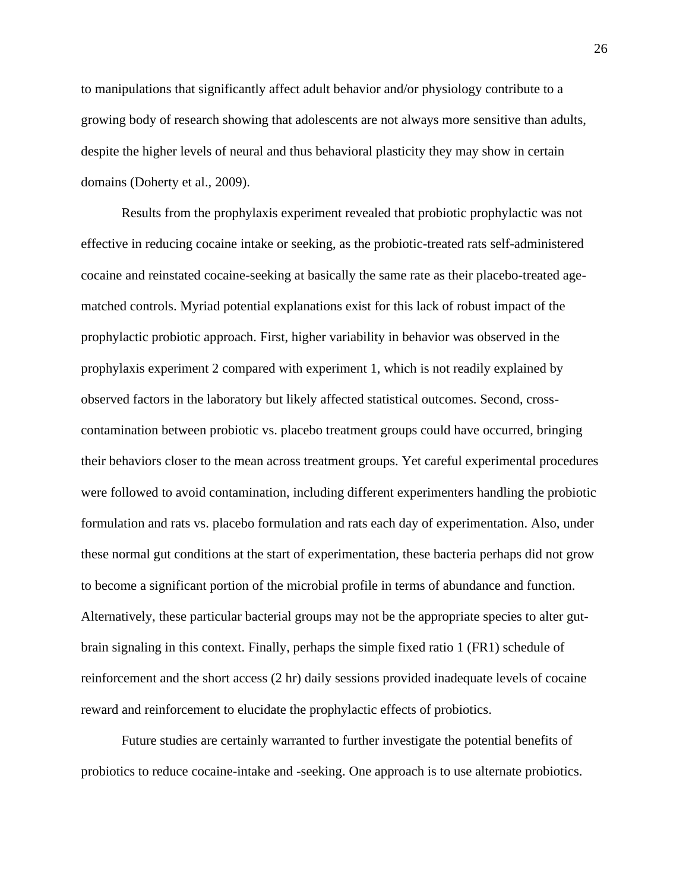to manipulations that significantly affect adult behavior and/or physiology contribute to a growing body of research showing that adolescents are not always more sensitive than adults, despite the higher levels of neural and thus behavioral plasticity they may show in certain domains (Doherty et al., 2009).

Results from the prophylaxis experiment revealed that probiotic prophylactic was not effective in reducing cocaine intake or seeking, as the probiotic-treated rats self-administered cocaine and reinstated cocaine-seeking at basically the same rate as their placebo-treated agematched controls. Myriad potential explanations exist for this lack of robust impact of the prophylactic probiotic approach. First, higher variability in behavior was observed in the prophylaxis experiment 2 compared with experiment 1, which is not readily explained by observed factors in the laboratory but likely affected statistical outcomes. Second, crosscontamination between probiotic vs. placebo treatment groups could have occurred, bringing their behaviors closer to the mean across treatment groups. Yet careful experimental procedures were followed to avoid contamination, including different experimenters handling the probiotic formulation and rats vs. placebo formulation and rats each day of experimentation. Also, under these normal gut conditions at the start of experimentation, these bacteria perhaps did not grow to become a significant portion of the microbial profile in terms of abundance and function. Alternatively, these particular bacterial groups may not be the appropriate species to alter gutbrain signaling in this context. Finally, perhaps the simple fixed ratio 1 (FR1) schedule of reinforcement and the short access (2 hr) daily sessions provided inadequate levels of cocaine reward and reinforcement to elucidate the prophylactic effects of probiotics.

Future studies are certainly warranted to further investigate the potential benefits of probiotics to reduce cocaine-intake and -seeking. One approach is to use alternate probiotics.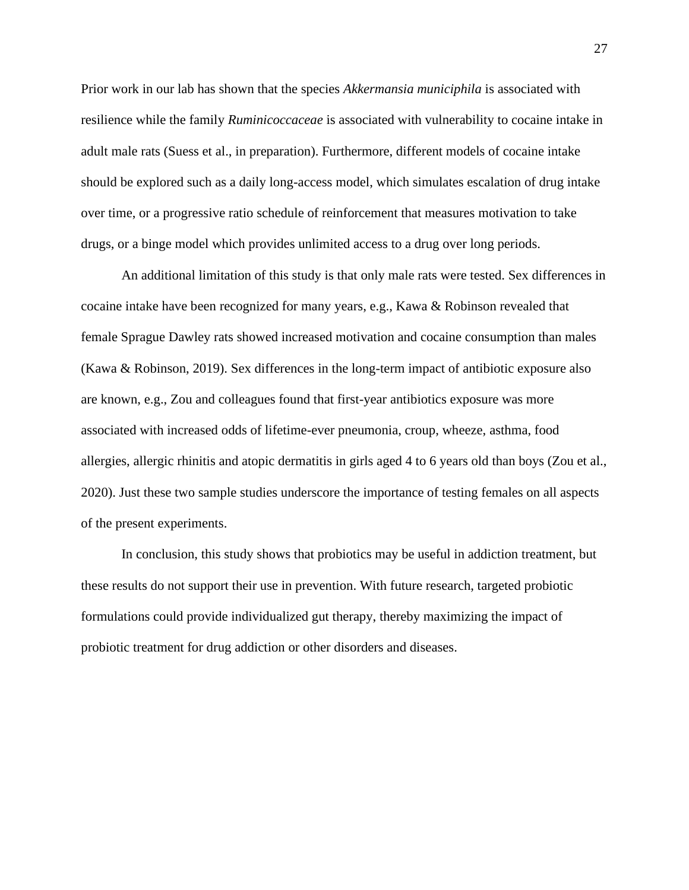Prior work in our lab has shown that the species *Akkermansia municiphila* is associated with resilience while the family *Ruminicoccaceae* is associated with vulnerability to cocaine intake in adult male rats (Suess et al., in preparation). Furthermore, different models of cocaine intake should be explored such as a daily long-access model, which simulates escalation of drug intake over time, or a progressive ratio schedule of reinforcement that measures motivation to take drugs, or a binge model which provides unlimited access to a drug over long periods.

An additional limitation of this study is that only male rats were tested. Sex differences in cocaine intake have been recognized for many years, e.g., Kawa & Robinson revealed that female Sprague Dawley rats showed increased motivation and cocaine consumption than males (Kawa & Robinson, 2019). Sex differences in the long-term impact of antibiotic exposure also are known, e.g., Zou and colleagues found that first-year antibiotics exposure was more associated with increased odds of lifetime-ever pneumonia, croup, wheeze, asthma, food allergies, allergic rhinitis and atopic dermatitis in girls aged 4 to 6 years old than boys (Zou et al., 2020). Just these two sample studies underscore the importance of testing females on all aspects of the present experiments.

In conclusion, this study shows that probiotics may be useful in addiction treatment, but these results do not support their use in prevention. With future research, targeted probiotic formulations could provide individualized gut therapy, thereby maximizing the impact of probiotic treatment for drug addiction or other disorders and diseases.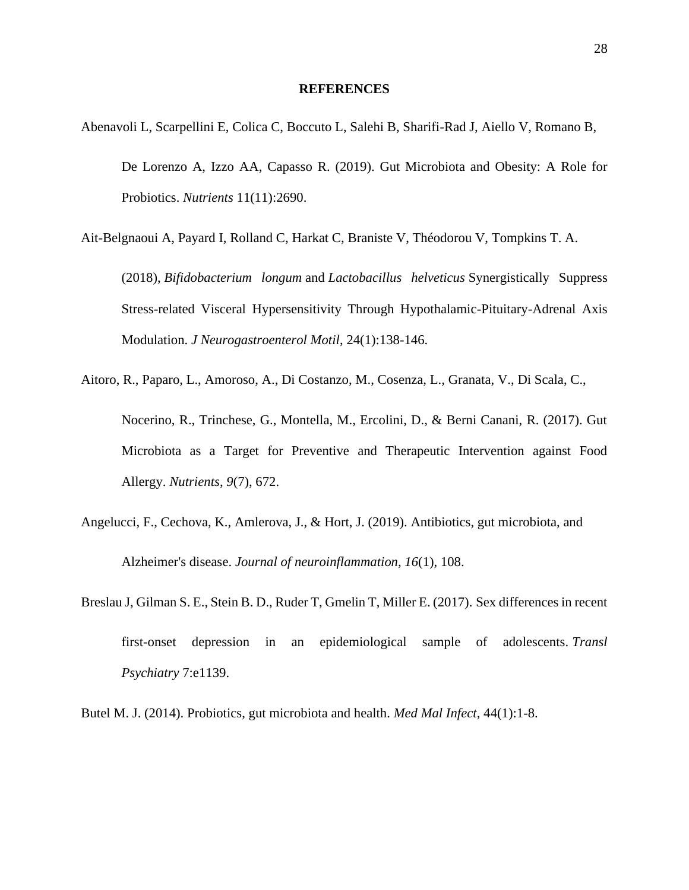#### **REFERENCES**

<span id="page-35-0"></span>Abenavoli L, Scarpellini E, Colica C, Boccuto L, Salehi B, Sharifi-Rad J, Aiello V, Romano B, De Lorenzo A, Izzo AA, Capasso R. (2019). Gut Microbiota and Obesity: A Role for Probiotics. *Nutrients* 11(11):2690.

Ait-Belgnaoui A, Payard I, Rolland C, Harkat C, Braniste V, Théodorou V, Tompkins T. A.

(2018), *Bifidobacterium longum* and *Lactobacillus helveticus* Synergistically Suppress Stress-related Visceral Hypersensitivity Through Hypothalamic-Pituitary-Adrenal Axis Modulation. *J Neurogastroenterol Motil*, 24(1):138-146.

- Aitoro, R., Paparo, L., Amoroso, A., Di Costanzo, M., Cosenza, L., Granata, V., Di Scala, C., Nocerino, R., Trinchese, G., Montella, M., Ercolini, D., & Berni Canani, R. (2017). Gut Microbiota as a Target for Preventive and Therapeutic Intervention against Food Allergy. *Nutrients*, *9*(7), 672.
- Angelucci, F., Cechova, K., Amlerova, J., & Hort, J. (2019). Antibiotics, gut microbiota, and Alzheimer's disease. *Journal of neuroinflammation*, *16*(1), 108.
- Breslau J, Gilman S. E., Stein B. D., Ruder T, Gmelin T, Miller E. (2017). Sex differences in recent first-onset depression in an epidemiological sample of adolescents. *Transl Psychiatry* 7:e1139.

Butel M. J. (2014). Probiotics, gut microbiota and health. *Med Mal Infect*, 44(1):1-8.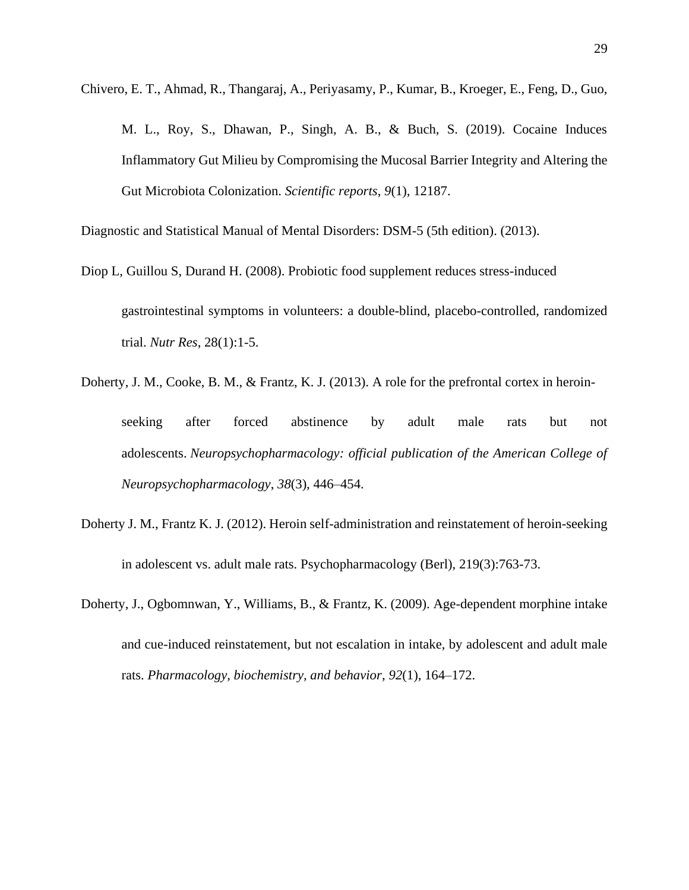Chivero, E. T., Ahmad, R., Thangaraj, A., Periyasamy, P., Kumar, B., Kroeger, E., Feng, D., Guo,

M. L., Roy, S., Dhawan, P., Singh, A. B., & Buch, S. (2019). Cocaine Induces Inflammatory Gut Milieu by Compromising the Mucosal Barrier Integrity and Altering the Gut Microbiota Colonization. *Scientific reports*, *9*(1), 12187.

Diagnostic and Statistical Manual of Mental Disorders: DSM-5 (5th edition). (2013).

- Diop L, Guillou S, Durand H. (2008). Probiotic food supplement reduces stress-induced gastrointestinal symptoms in volunteers: a double-blind, placebo-controlled, randomized trial. *Nutr Res*, 28(1):1-5.
- Doherty, J. M., Cooke, B. M., & Frantz, K. J. (2013). A role for the prefrontal cortex in heroinseeking after forced abstinence by adult male rats but not adolescents. *Neuropsychopharmacology: official publication of the American College of Neuropsychopharmacology*, *38*(3), 446–454.
- Doherty J. M., Frantz K. J. (2012). Heroin self-administration and reinstatement of heroin-seeking in adolescent vs. adult male rats. Psychopharmacology (Berl), 219(3):763-73.
- Doherty, J., Ogbomnwan, Y., Williams, B., & Frantz, K. (2009). Age-dependent morphine intake and cue-induced reinstatement, but not escalation in intake, by adolescent and adult male rats. *Pharmacology, biochemistry, and behavior*, *92*(1), 164–172.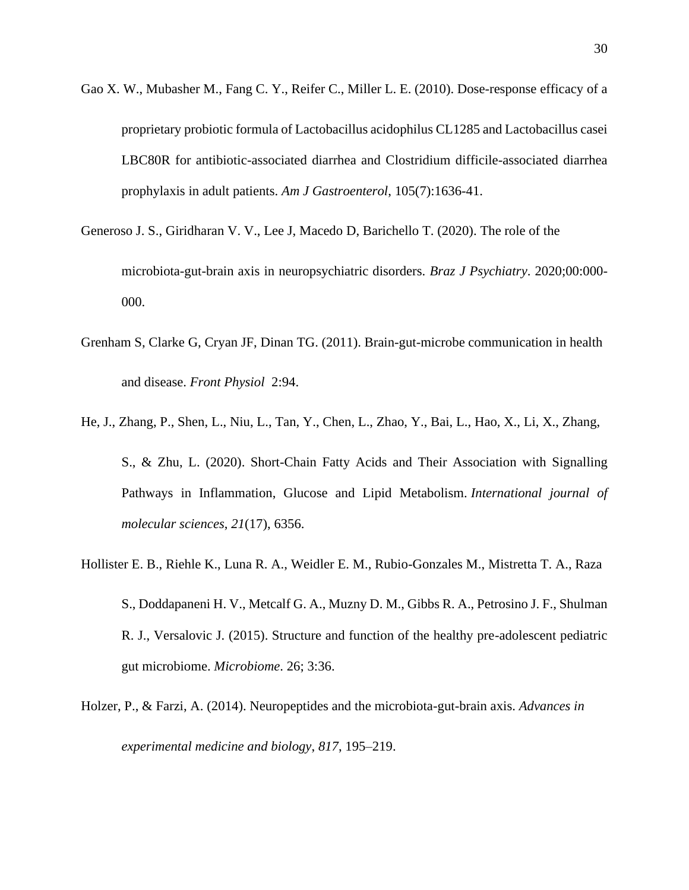- Gao X. W., Mubasher M., Fang C. Y., Reifer C., Miller L. E. (2010). Dose-response efficacy of a proprietary probiotic formula of Lactobacillus acidophilus CL1285 and Lactobacillus casei LBC80R for antibiotic-associated diarrhea and Clostridium difficile-associated diarrhea prophylaxis in adult patients. *Am J Gastroenterol*, 105(7):1636-41.
- Generoso J. S., Giridharan V. V., Lee J, Macedo D, Barichello T. (2020). The role of the microbiota-gut-brain axis in neuropsychiatric disorders. *Braz J Psychiatry*. 2020;00:000- 000.
- Grenham S, Clarke G, Cryan JF, Dinan TG. (2011). Brain-gut-microbe communication in health and disease. *Front Physiol* 2:94.
- He, J., Zhang, P., Shen, L., Niu, L., Tan, Y., Chen, L., Zhao, Y., Bai, L., Hao, X., Li, X., Zhang, S., & Zhu, L. (2020). Short-Chain Fatty Acids and Their Association with Signalling Pathways in Inflammation, Glucose and Lipid Metabolism. *International journal of molecular sciences*, *21*(17), 6356.
- Hollister E. B., Riehle K., Luna R. A., Weidler E. M., Rubio-Gonzales M., Mistretta T. A., Raza S., Doddapaneni H. V., Metcalf G. A., Muzny D. M., Gibbs R. A., Petrosino J. F., Shulman R. J., Versalovic J. (2015). Structure and function of the healthy pre-adolescent pediatric gut microbiome. *Microbiome*. 26; 3:36.
- Holzer, P., & Farzi, A. (2014). Neuropeptides and the microbiota-gut-brain axis. *Advances in experimental medicine and biology*, *817*, 195–219.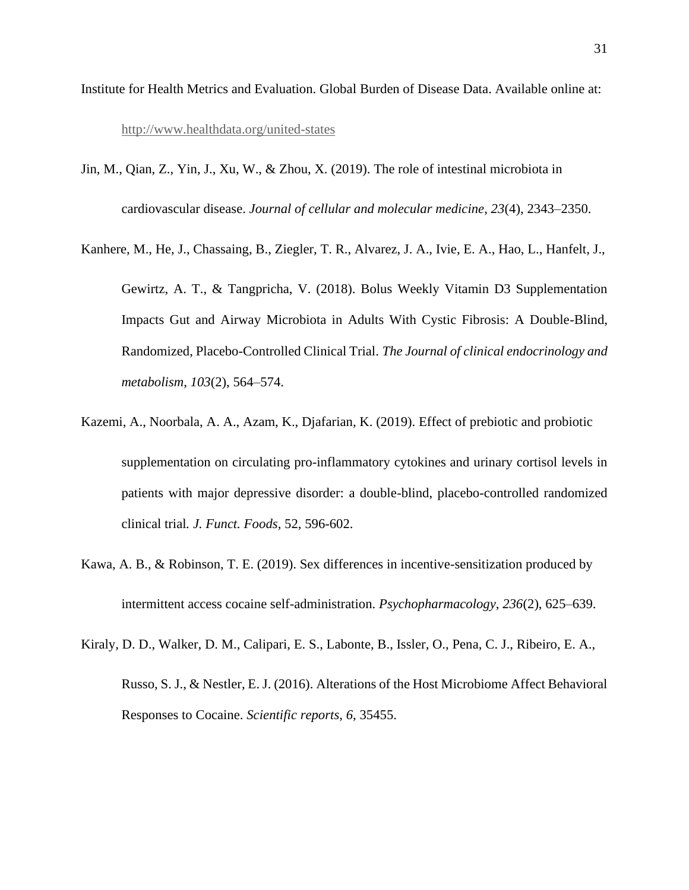- Institute for Health Metrics and Evaluation. Global Burden of Disease Data. Available online at: <http://www.healthdata.org/united-states>
- Jin, M., Qian, Z., Yin, J., Xu, W., & Zhou, X. (2019). The role of intestinal microbiota in cardiovascular disease. *Journal of cellular and molecular medicine*, *23*(4), 2343–2350.
- Kanhere, M., He, J., Chassaing, B., Ziegler, T. R., Alvarez, J. A., Ivie, E. A., Hao, L., Hanfelt, J., Gewirtz, A. T., & Tangpricha, V. (2018). Bolus Weekly Vitamin D3 Supplementation Impacts Gut and Airway Microbiota in Adults With Cystic Fibrosis: A Double-Blind, Randomized, Placebo-Controlled Clinical Trial. *The Journal of clinical endocrinology and metabolism*, *103*(2), 564–574.
- Kazemi, A., Noorbala, A. A., Azam, K., Djafarian, K. (2019). Effect of prebiotic and probiotic supplementation on circulating pro-inflammatory cytokines and urinary cortisol levels in patients with major depressive disorder: a double-blind, placebo-controlled randomized clinical trial*. J. Funct. Foods*, 52, 596-602.
- Kawa, A. B., & Robinson, T. E. (2019). Sex differences in incentive-sensitization produced by intermittent access cocaine self-administration. *Psychopharmacology*, *236*(2), 625–639.
- Kiraly, D. D., Walker, D. M., Calipari, E. S., Labonte, B., Issler, O., Pena, C. J., Ribeiro, E. A., Russo, S. J., & Nestler, E. J. (2016). Alterations of the Host Microbiome Affect Behavioral Responses to Cocaine. *Scientific reports*, *6*, 35455.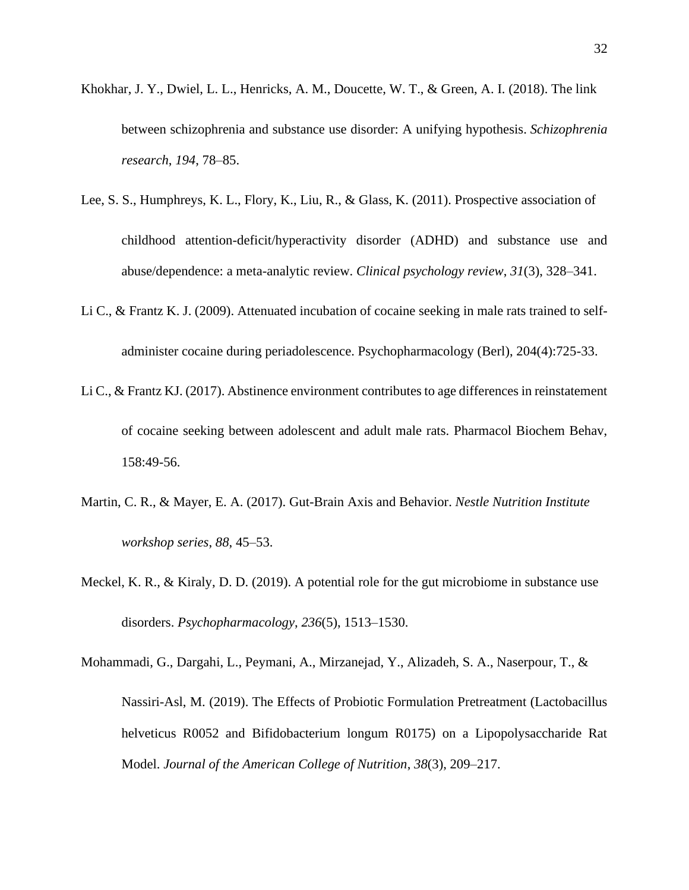- Khokhar, J. Y., Dwiel, L. L., Henricks, A. M., Doucette, W. T., & Green, A. I. (2018). The link between schizophrenia and substance use disorder: A unifying hypothesis. *Schizophrenia research*, *194*, 78–85.
- Lee, S. S., Humphreys, K. L., Flory, K., Liu, R., & Glass, K. (2011). Prospective association of childhood attention-deficit/hyperactivity disorder (ADHD) and substance use and abuse/dependence: a meta-analytic review. *Clinical psychology review*, *31*(3), 328–341.
- Li C., & Frantz K. J. (2009). Attenuated incubation of cocaine seeking in male rats trained to selfadminister cocaine during periadolescence. Psychopharmacology (Berl), 204(4):725-33.
- Li C., & Frantz KJ. (2017). Abstinence environment contributes to age differences in reinstatement of cocaine seeking between adolescent and adult male rats. Pharmacol Biochem Behav, 158:49-56.
- Martin, C. R., & Mayer, E. A. (2017). Gut-Brain Axis and Behavior. *Nestle Nutrition Institute workshop series*, *88*, 45–53.
- Meckel, K. R., & Kiraly, D. D. (2019). A potential role for the gut microbiome in substance use disorders. *Psychopharmacology*, *236*(5), 1513–1530.
- Mohammadi, G., Dargahi, L., Peymani, A., Mirzanejad, Y., Alizadeh, S. A., Naserpour, T., & Nassiri-Asl, M. (2019). The Effects of Probiotic Formulation Pretreatment (Lactobacillus helveticus R0052 and Bifidobacterium longum R0175) on a Lipopolysaccharide Rat Model. *Journal of the American College of Nutrition*, *38*(3), 209–217.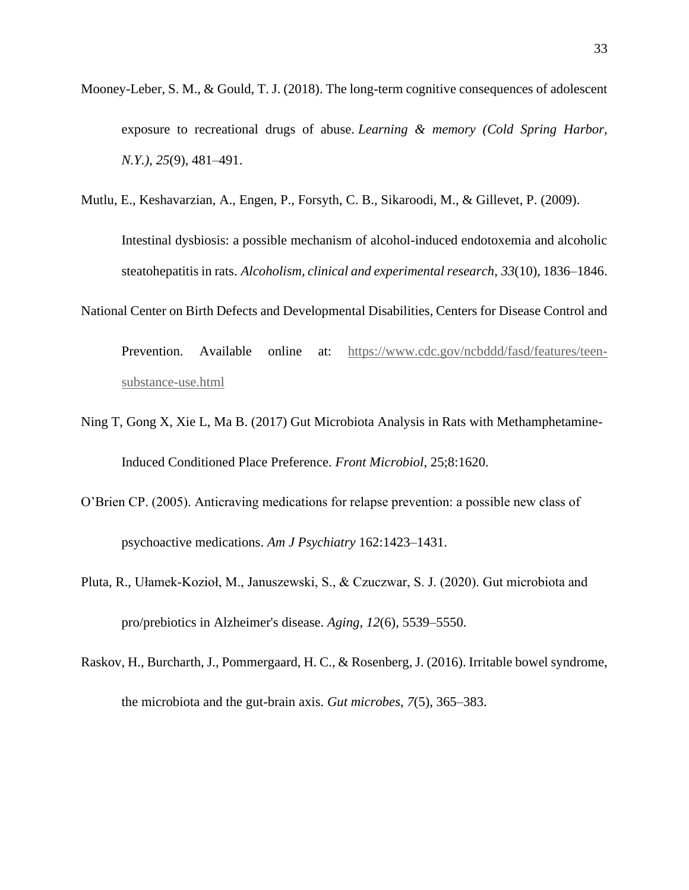- Mooney-Leber, S. M., & Gould, T. J. (2018). The long-term cognitive consequences of adolescent exposure to recreational drugs of abuse. *Learning & memory (Cold Spring Harbor, N.Y.)*, *25*(9), 481–491.
- Mutlu, E., Keshavarzian, A., Engen, P., Forsyth, C. B., Sikaroodi, M., & Gillevet, P. (2009).

Intestinal dysbiosis: a possible mechanism of alcohol-induced endotoxemia and alcoholic steatohepatitis in rats. *Alcoholism, clinical and experimental research*, *33*(10), 1836–1846.

National Center on Birth Defects and Developmental Disabilities, Centers for Disease Control and

Prevention. Available online at: [https://www.cdc.gov/ncbddd/fasd/features/teen](https://www.cdc.gov/ncbddd/fasd/features/teen-substance-use.html)[substance-use.html](https://www.cdc.gov/ncbddd/fasd/features/teen-substance-use.html)

- Ning T, Gong X, Xie L, Ma B. (2017) Gut Microbiota Analysis in Rats with Methamphetamine-Induced Conditioned Place Preference. *Front Microbiol*, 25;8:1620.
- O'Brien CP. (2005). Anticraving medications for relapse prevention: a possible new class of psychoactive medications. *Am J Psychiatry* 162:1423–1431.
- Pluta, R., Ułamek-Kozioł, M., Januszewski, S., & Czuczwar, S. J. (2020). Gut microbiota and pro/prebiotics in Alzheimer's disease. *Aging*, *12*(6), 5539–5550.
- Raskov, H., Burcharth, J., Pommergaard, H. C., & Rosenberg, J. (2016). Irritable bowel syndrome, the microbiota and the gut-brain axis. *Gut microbes*, *7*(5), 365–383.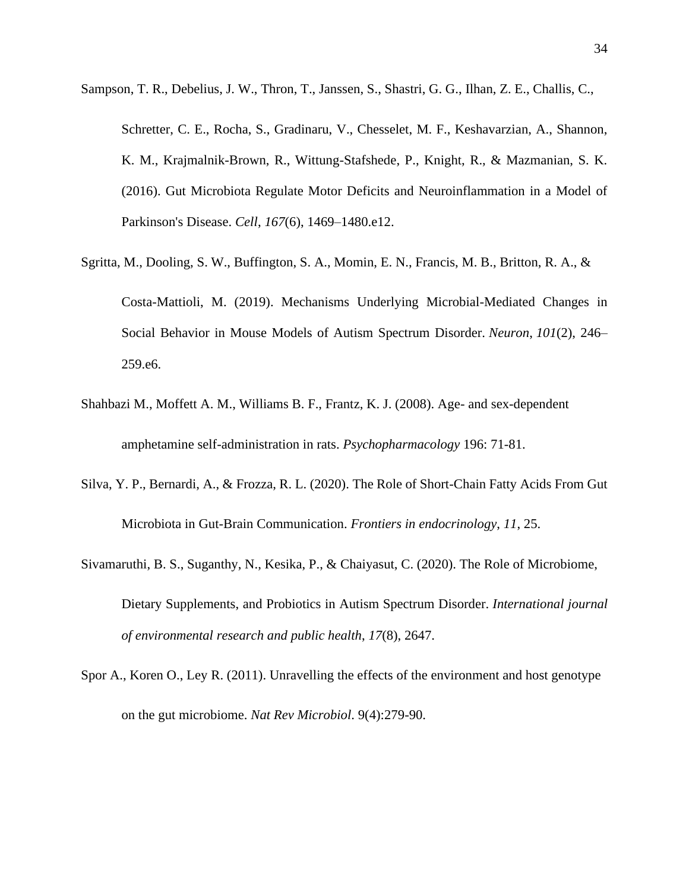Sampson, T. R., Debelius, J. W., Thron, T., Janssen, S., Shastri, G. G., Ilhan, Z. E., Challis, C.,

Schretter, C. E., Rocha, S., Gradinaru, V., Chesselet, M. F., Keshavarzian, A., Shannon, K. M., Krajmalnik-Brown, R., Wittung-Stafshede, P., Knight, R., & Mazmanian, S. K. (2016). Gut Microbiota Regulate Motor Deficits and Neuroinflammation in a Model of Parkinson's Disease. *Cell*, *167*(6), 1469–1480.e12.

- Sgritta, M., Dooling, S. W., Buffington, S. A., Momin, E. N., Francis, M. B., Britton, R. A., & Costa-Mattioli, M. (2019). Mechanisms Underlying Microbial-Mediated Changes in Social Behavior in Mouse Models of Autism Spectrum Disorder. *Neuron*, *101*(2), 246– 259.e6.
- Shahbazi M., Moffett A. M., Williams B. F., Frantz, K. J. (2008). Age- and sex-dependent amphetamine self-administration in rats. *Psychopharmacology* 196: 71-81.
- Silva, Y. P., Bernardi, A., & Frozza, R. L. (2020). The Role of Short-Chain Fatty Acids From Gut Microbiota in Gut-Brain Communication. *Frontiers in endocrinology*, *11*, 25.
- Sivamaruthi, B. S., Suganthy, N., Kesika, P., & Chaiyasut, C. (2020). The Role of Microbiome, Dietary Supplements, and Probiotics in Autism Spectrum Disorder. *International journal of environmental research and public health*, *17*(8), 2647.
- Spor A., Koren O., Ley R. (2011). Unravelling the effects of the environment and host genotype on the gut microbiome. *Nat Rev Microbiol*. 9(4):279-90.